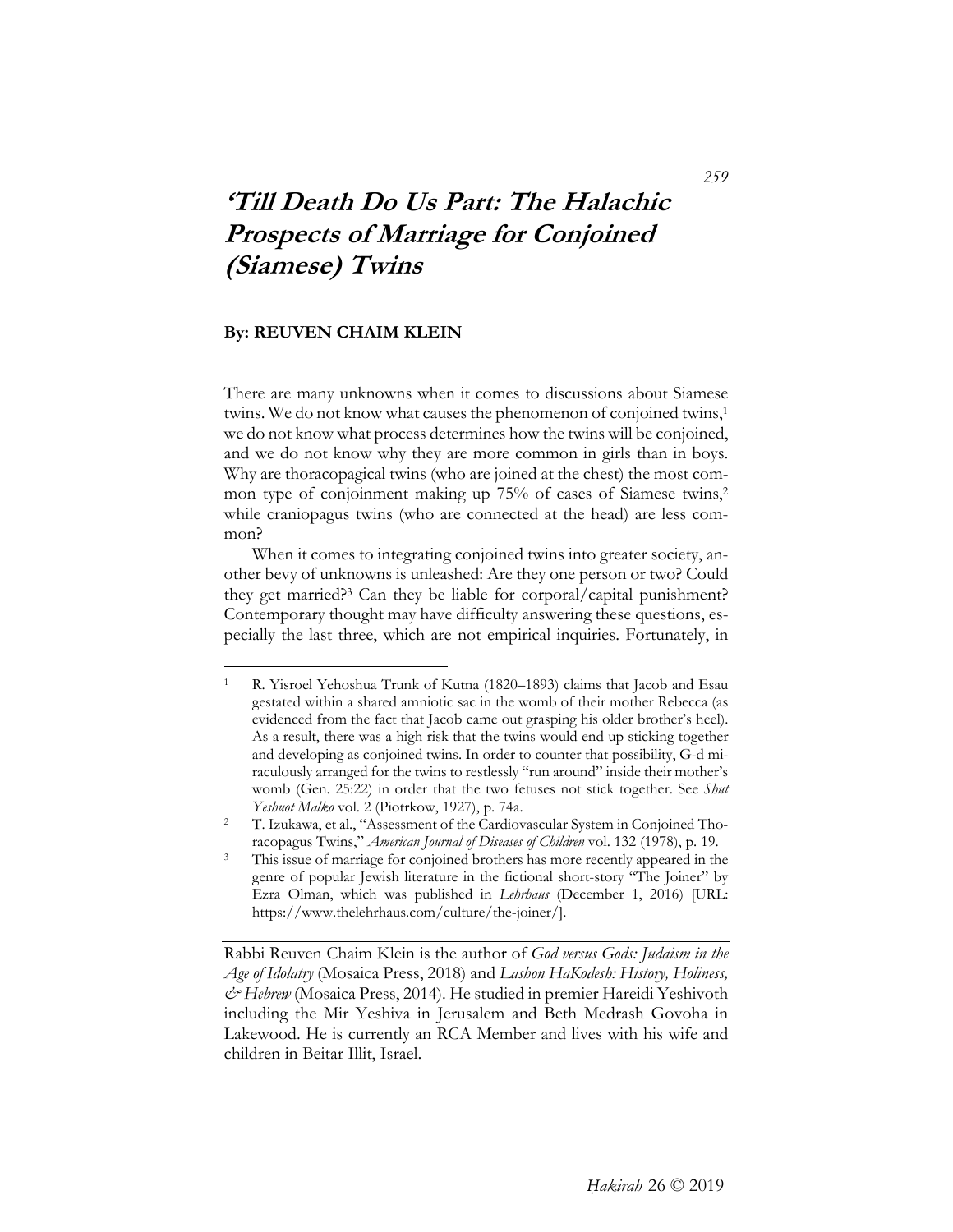# **'Till Death Do Us Part: The Halachic Prospects of Marriage for Conjoined (Siamese) Twins**

# **By: REUVEN CHAIM KLEIN**

 $\overline{a}$ 

There are many unknowns when it comes to discussions about Siamese twins. We do not know what causes the phenomenon of conjoined twins,1 we do not know what process determines how the twins will be conjoined, and we do not know why they are more common in girls than in boys. Why are thoracopagical twins (who are joined at the chest) the most common type of conjoinment making up 75% of cases of Siamese twins,<sup>2</sup> while craniopagus twins (who are connected at the head) are less common?

When it comes to integrating conjoined twins into greater society, another bevy of unknowns is unleashed: Are they one person or two? Could they get married?3 Can they be liable for corporal/capital punishment? Contemporary thought may have difficulty answering these questions, especially the last three, which are not empirical inquiries. Fortunately, in

Rabbi Reuven Chaim Klein is the author of *God versus Gods: Judaism in the Age of Idolatry* (Mosaica Press, 2018) and *Lashon HaKodesh: History, Holiness, & Hebrew* (Mosaica Press, 2014). He studied in premier Hareidi Yeshivoth including the Mir Yeshiva in Jerusalem and Beth Medrash Govoha in Lakewood. He is currently an RCA Member and lives with his wife and children in Beitar Illit, Israel.

*259* 

<sup>1</sup> R. Yisroel Yehoshua Trunk of Kutna (1820–1893) claims that Jacob and Esau gestated within a shared amniotic sac in the womb of their mother Rebecca (as evidenced from the fact that Jacob came out grasping his older brother's heel). As a result, there was a high risk that the twins would end up sticking together and developing as conjoined twins. In order to counter that possibility, G-d miraculously arranged for the twins to restlessly "run around" inside their mother's womb (Gen. 25:22) in order that the two fetuses not stick together. See *Shut Yeshuot Malko* vol. 2 (Piotrkow, 1927), p. 74a.<br><sup>2</sup> T. Izukawa, et al., "Assessment of the Cardiovascular System in Conjoined Tho-

racopagus Twins," *American Journal of Diseases of Children* vol. 132 (1978), p. 19. 3 This issue of marriage for conjoined brothers has more recently appeared in the genre of popular Jewish literature in the fictional short-story "The Joiner" by Ezra Olman, which was published in *Lehrhaus* (December 1, 2016) [URL: https://www.thelehrhaus.com/culture/the-joiner/].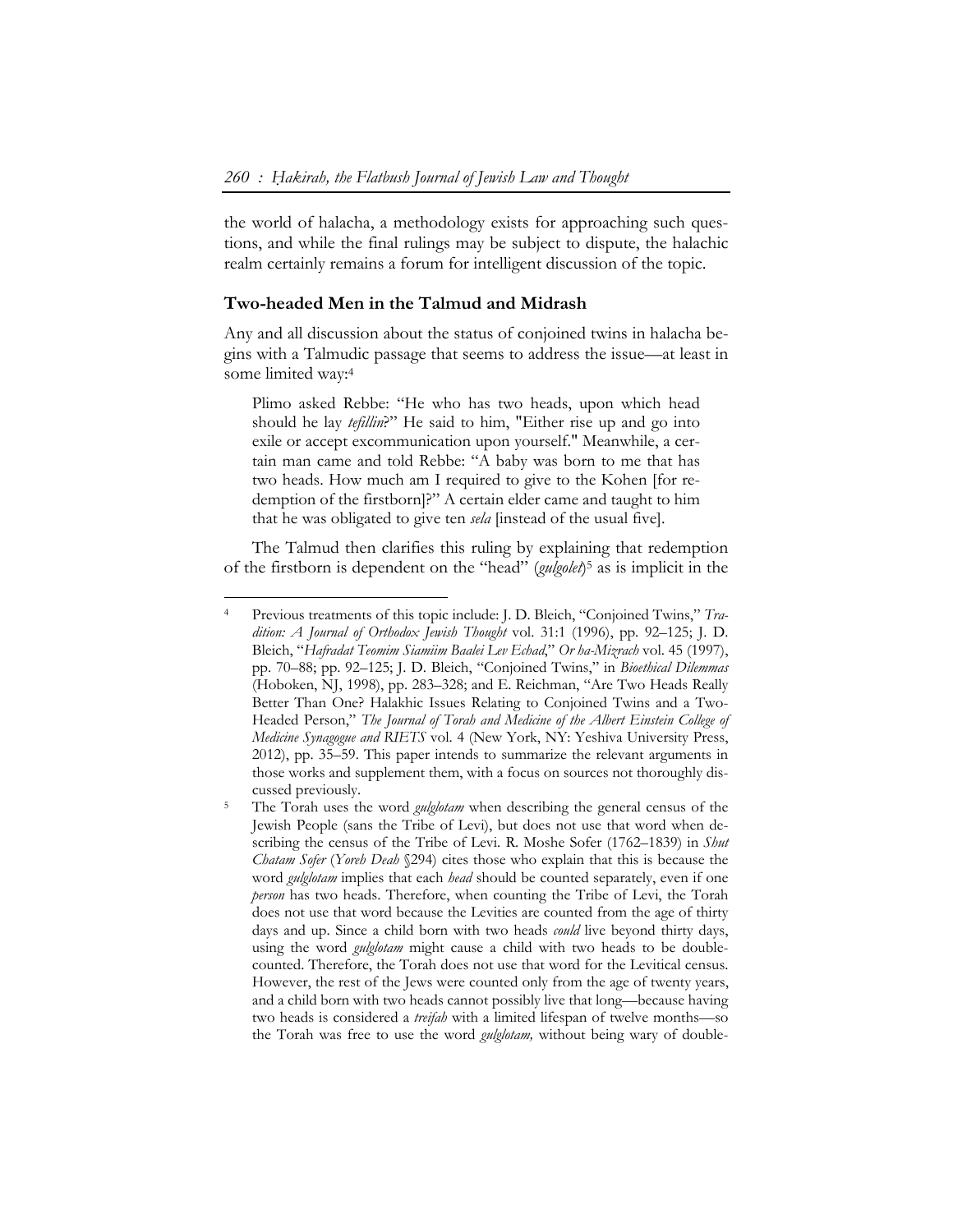the world of halacha, a methodology exists for approaching such questions, and while the final rulings may be subject to dispute, the halachic realm certainly remains a forum for intelligent discussion of the topic.

#### **Two-headed Men in the Talmud and Midrash**

-

Any and all discussion about the status of conjoined twins in halacha begins with a Talmudic passage that seems to address the issue—at least in some limited way:4

Plimo asked Rebbe: "He who has two heads, upon which head should he lay *tefillin*?" He said to him, "Either rise up and go into exile or accept excommunication upon yourself." Meanwhile, a certain man came and told Rebbe: "A baby was born to me that has two heads. How much am I required to give to the Kohen [for redemption of the firstborn]?" A certain elder came and taught to him that he was obligated to give ten *sela* [instead of the usual five].

The Talmud then clarifies this ruling by explaining that redemption of the firstborn is dependent on the "head" (*gulgolet*)5 as is implicit in the

<sup>4</sup> Previous treatments of this topic include: J. D. Bleich, "Conjoined Twins," *Tradition: A Journal of Orthodox Jewish Thought* vol. 31:1 (1996), pp. 92–125; J. D. Bleich, "*Hafradat Teomim Siamiim Baalei Lev Echad*," *Or ha-Mizrach* vol. 45 (1997), pp. 70–88; pp. 92–125; J. D. Bleich, "Conjoined Twins," in *Bioethical Dilemmas* (Hoboken, NJ, 1998), pp. 283–328; and E. Reichman, "Are Two Heads Really Better Than One? Halakhic Issues Relating to Conjoined Twins and a Two-Headed Person," *The Journal of Torah and Medicine of the Albert Einstein College of Medicine Synagogue and RIETS* vol. 4 (New York, NY: Yeshiva University Press, 2012), pp. 35–59. This paper intends to summarize the relevant arguments in those works and supplement them, with a focus on sources not thoroughly discussed previously. 5 The Torah uses the word *gulglotam* when describing the general census of the

Jewish People (sans the Tribe of Levi), but does not use that word when describing the census of the Tribe of Levi. R. Moshe Sofer (1762–1839) in *Shut Chatam Sofer* (*Yoreh Deah* §294) cites those who explain that this is because the word *gulglotam* implies that each *head* should be counted separately, even if one *person* has two heads. Therefore, when counting the Tribe of Levi, the Torah does not use that word because the Levities are counted from the age of thirty days and up. Since a child born with two heads *could* live beyond thirty days, using the word *gulglotam* might cause a child with two heads to be doublecounted. Therefore, the Torah does not use that word for the Levitical census. However, the rest of the Jews were counted only from the age of twenty years, and a child born with two heads cannot possibly live that long—because having two heads is considered a *treifah* with a limited lifespan of twelve months—so the Torah was free to use the word *gulglotam,* without being wary of double-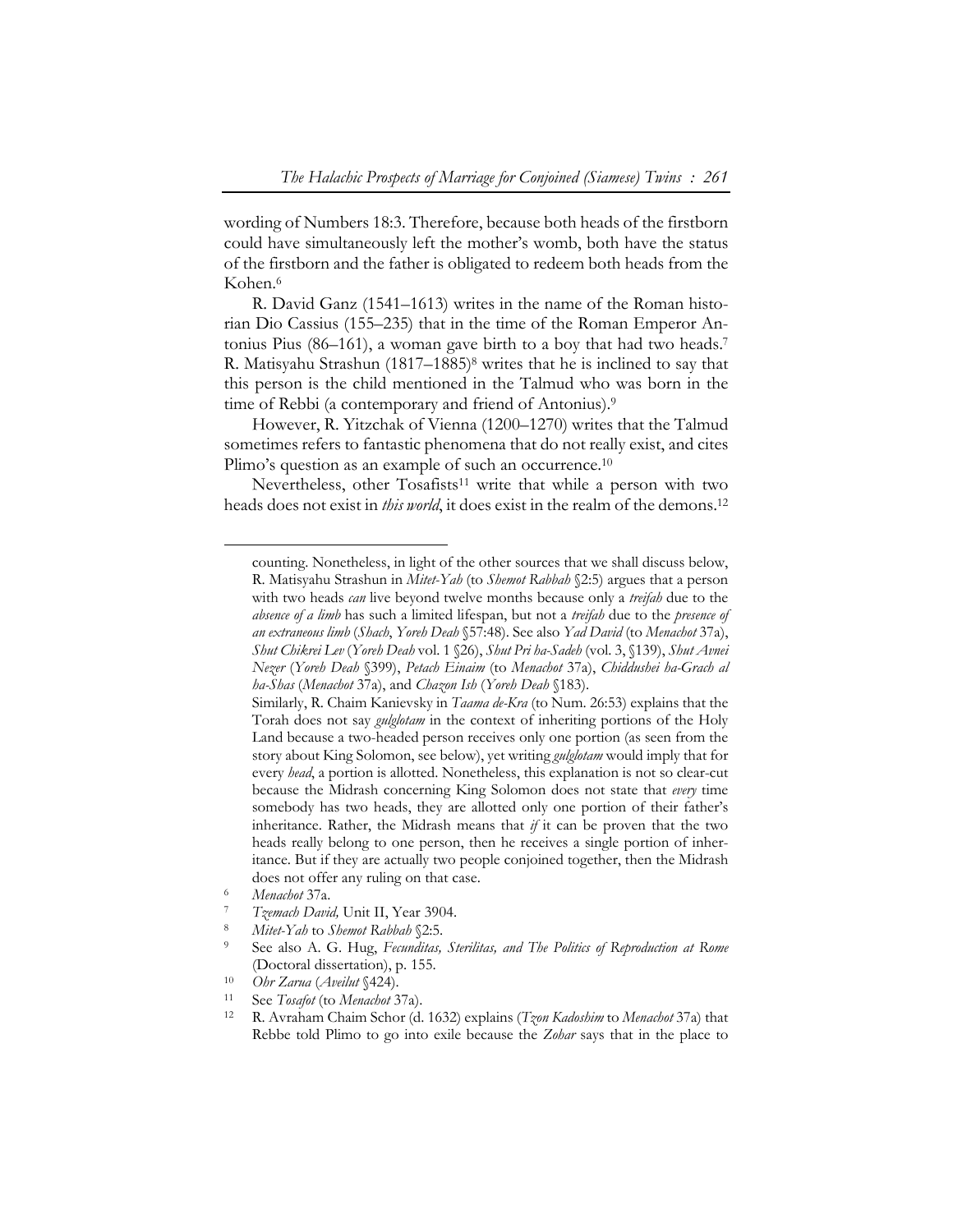wording of Numbers 18:3. Therefore, because both heads of the firstborn could have simultaneously left the mother's womb, both have the status of the firstborn and the father is obligated to redeem both heads from the Kohen.6

R. David Ganz (1541–1613) writes in the name of the Roman historian Dio Cassius (155–235) that in the time of the Roman Emperor Antonius Pius (86–161), a woman gave birth to a boy that had two heads.7 R. Matisyahu Strashun (1817–1885)8 writes that he is inclined to say that this person is the child mentioned in the Talmud who was born in the time of Rebbi (a contemporary and friend of Antonius).9

However, R. Yitzchak of Vienna (1200–1270) writes that the Talmud sometimes refers to fantastic phenomena that do not really exist, and cites Plimo's question as an example of such an occurrence.<sup>10</sup>

Nevertheless, other Tosafists<sup>11</sup> write that while a person with two heads does not exist in *this world*, it does exist in the realm of the demons.12

counting. Nonetheless, in light of the other sources that we shall discuss below, R. Matisyahu Strashun in *Mitet-Yah* (to *Shemot Rabbah* §2:5) argues that a person with two heads *can* live beyond twelve months because only a *treifah* due to the *absence of a limb* has such a limited lifespan, but not a *treifah* due to the *presence of an extraneous limb* (*Shach*, *Yoreh Deah* §57:48). See also *Yad David* (to *Menachot* 37a), *Shut Chikrei Lev* (*Yoreh Deah* vol. 1 §26), *Shut Pri ha-Sadeh* (vol. 3, §139), *Shut Avnei Nezer* (*Yoreh Deah* §399), *Petach Einaim* (to *Menachot* 37a), *Chiddushei ha-Grach al ha-Shas* (*Menachot* 37a), and *Chazon Ish* (*Yoreh Deah* §183).

Similarly, R. Chaim Kanievsky in *Taama de-Kra* (to Num. 26:53) explains that the Torah does not say *gulglotam* in the context of inheriting portions of the Holy Land because a two-headed person receives only one portion (as seen from the story about King Solomon, see below), yet writing *gulglotam* would imply that for every *head*, a portion is allotted. Nonetheless, this explanation is not so clear-cut because the Midrash concerning King Solomon does not state that *every* time somebody has two heads, they are allotted only one portion of their father's inheritance. Rather, the Midrash means that *if* it can be proven that the two heads really belong to one person, then he receives a single portion of inheritance. But if they are actually two people conjoined together, then the Midrash does not offer any ruling on that case.<br>
6 *Menachot* 37a.<br>
7 *Tzemach David,* Unit II, Year 3904.<br>
8 *Mitet-Yah* to *Shemot Rabbah* §2:5.<br>
9 See also A. G. Hug, *Fecunditas, Sterilitas, and The Politics of Reproduction at* 

<sup>(</sup>Doctoral dissertation), p. 155. 10 *Ohr Zarua* (*Aveilut* §424). 11 See *Tosafot* (to *Menachot* 37a). 12 R. Avraham Chaim Schor (d. 1632) explains (*Tzon Kadoshim* to *Menachot* 37a) that

Rebbe told Plimo to go into exile because the *Zohar* says that in the place to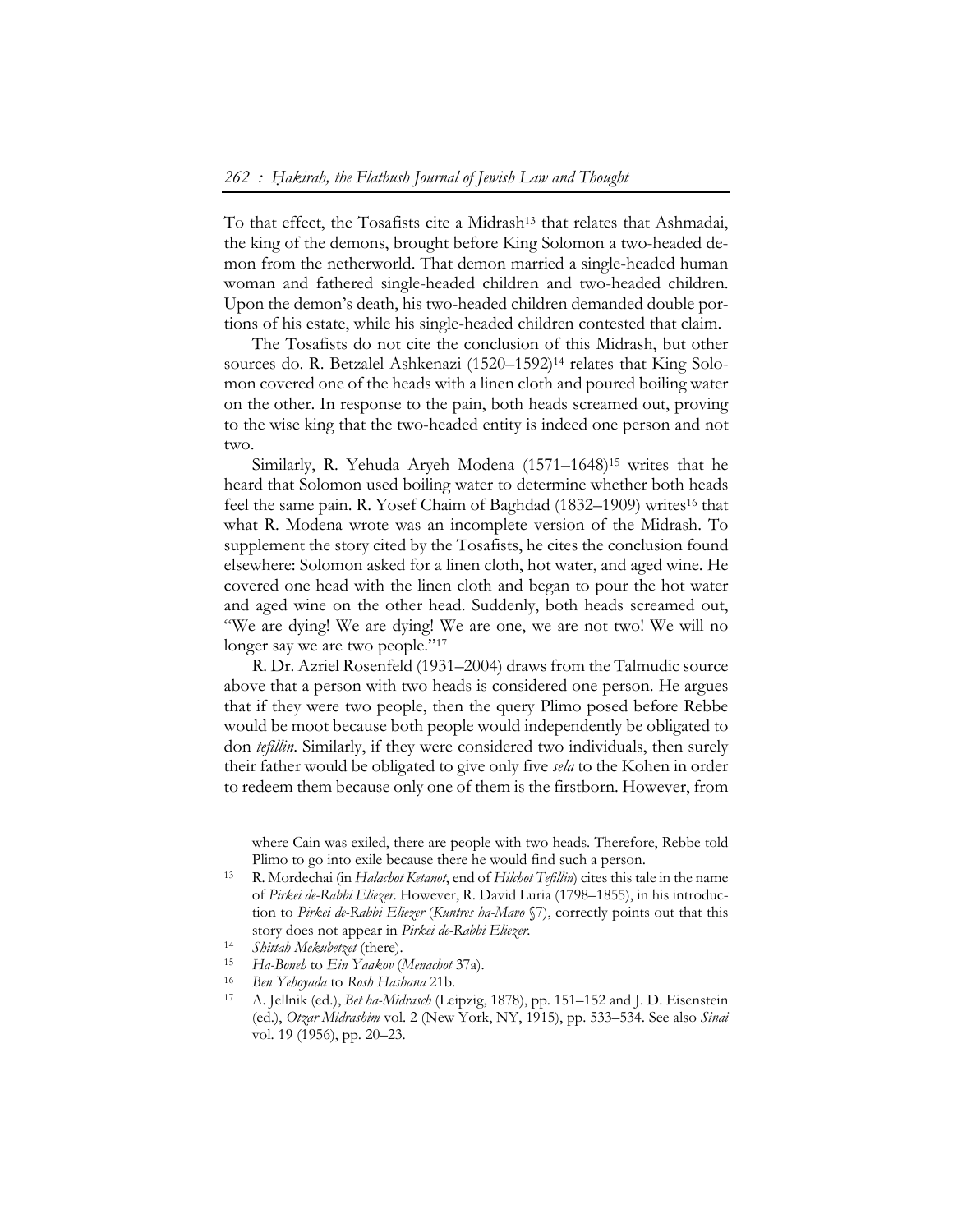To that effect, the Tosafists cite a Midrash<sup>13</sup> that relates that Ashmadai, the king of the demons, brought before King Solomon a two-headed demon from the netherworld. That demon married a single-headed human woman and fathered single-headed children and two-headed children. Upon the demon's death, his two-headed children demanded double portions of his estate, while his single-headed children contested that claim.

The Tosafists do not cite the conclusion of this Midrash, but other sources do. R. Betzalel Ashkenazi (1520–1592)14 relates that King Solomon covered one of the heads with a linen cloth and poured boiling water on the other. In response to the pain, both heads screamed out, proving to the wise king that the two-headed entity is indeed one person and not two.

Similarly, R. Yehuda Aryeh Modena (1571–1648)15 writes that he heard that Solomon used boiling water to determine whether both heads feel the same pain. R. Yosef Chaim of Baghdad (1832–1909) writes16 that what R. Modena wrote was an incomplete version of the Midrash. To supplement the story cited by the Tosafists, he cites the conclusion found elsewhere: Solomon asked for a linen cloth, hot water, and aged wine. He covered one head with the linen cloth and began to pour the hot water and aged wine on the other head. Suddenly, both heads screamed out, "We are dying! We are dying! We are one, we are not two! We will no longer say we are two people."<sup>17</sup>

R. Dr. Azriel Rosenfeld (1931–2004) draws from the Talmudic source above that a person with two heads is considered one person. He argues that if they were two people, then the query Plimo posed before Rebbe would be moot because both people would independently be obligated to don *tefillin*. Similarly, if they were considered two individuals, then surely their father would be obligated to give only five *sela* to the Kohen in order to redeem them because only one of them is the firstborn. However, from

where Cain was exiled, there are people with two heads. Therefore, Rebbe told

Plimo to go into exile because there he would find such a person. 13 R. Mordechai (in *Halachot Ketanot*, end of *Hilchot Tefillin*) cites this tale in the name of *Pirkei de-Rabbi Eliezer*. However, R. David Luria (1798–1855), in his introduction to *Pirkei de-Rabbi Eliezer* (*Kuntres ha-Mavo* §7), correctly points out that this

story does not appear in *Pirkei de-Rabbi Eliezer*.<br>
<sup>14</sup> Shittah Mekubetzet (there).<br>
<sup>15</sup> Ha-Boneh to Ein Yaakov (Menachot 37a).<br>
<sup>16</sup> Ben Yehoyada to Rosh Hashana 21b.<br>
<sup>17</sup> A. Jellnik (ed.), *Bet ha-Midrasch* (Leipzig, (ed.), *Otzar Midrashim* vol. 2 (New York, NY, 1915), pp. 533–534. See also *Sinai*  vol. 19 (1956), pp. 20–23.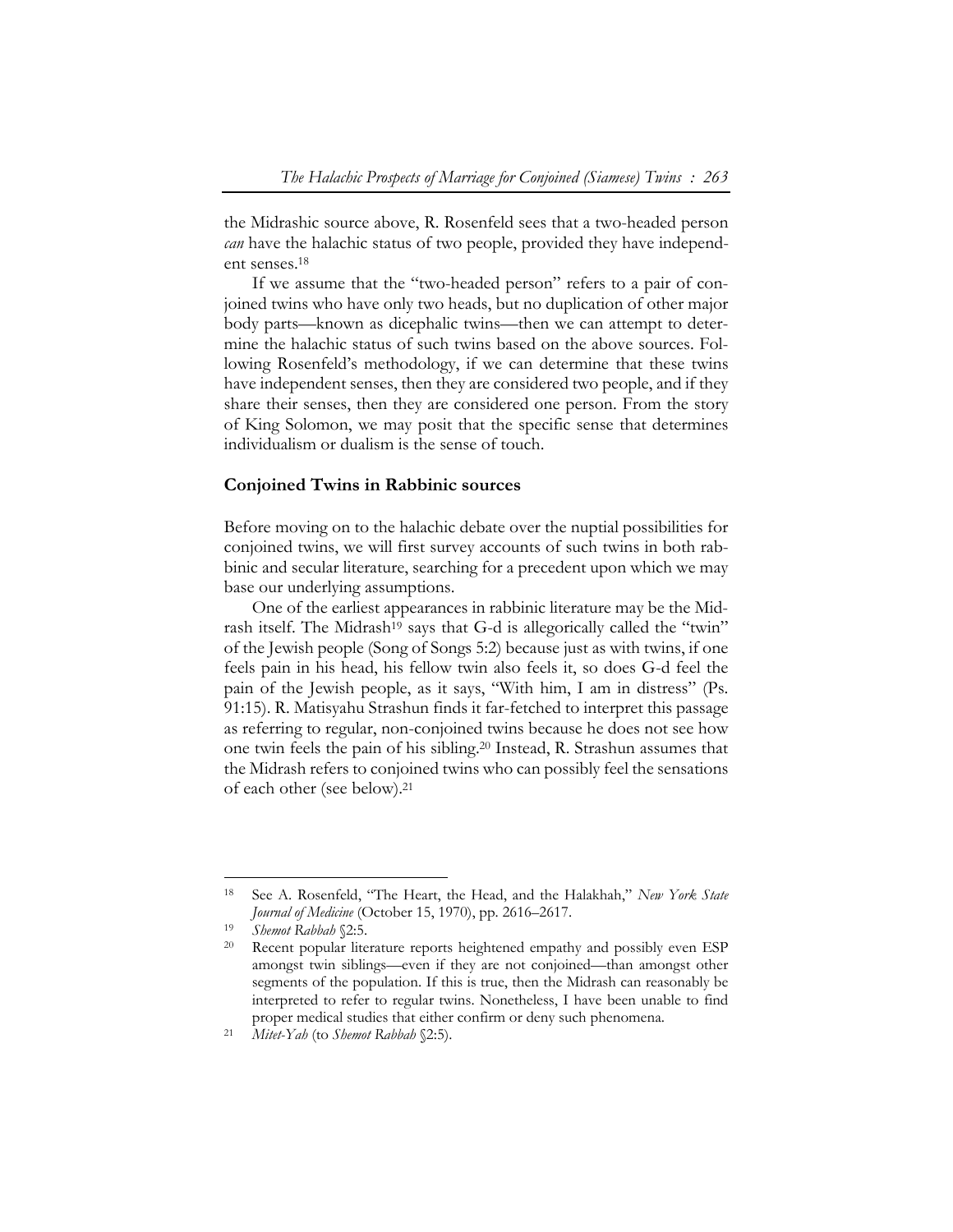the Midrashic source above, R. Rosenfeld sees that a two-headed person *can* have the halachic status of two people, provided they have independent senses.18

If we assume that the "two-headed person" refers to a pair of conjoined twins who have only two heads, but no duplication of other major body parts—known as dicephalic twins—then we can attempt to determine the halachic status of such twins based on the above sources. Following Rosenfeld's methodology, if we can determine that these twins have independent senses, then they are considered two people, and if they share their senses, then they are considered one person. From the story of King Solomon, we may posit that the specific sense that determines individualism or dualism is the sense of touch.

# **Conjoined Twins in Rabbinic sources**

Before moving on to the halachic debate over the nuptial possibilities for conjoined twins, we will first survey accounts of such twins in both rabbinic and secular literature, searching for a precedent upon which we may base our underlying assumptions.

One of the earliest appearances in rabbinic literature may be the Midrash itself. The Midrash<sup>19</sup> says that G-d is allegorically called the "twin" of the Jewish people (Song of Songs 5:2) because just as with twins, if one feels pain in his head, his fellow twin also feels it, so does G-d feel the pain of the Jewish people, as it says, "With him, I am in distress" (Ps. 91:15). R. Matisyahu Strashun finds it far-fetched to interpret this passage as referring to regular, non-conjoined twins because he does not see how one twin feels the pain of his sibling.20 Instead, R. Strashun assumes that the Midrash refers to conjoined twins who can possibly feel the sensations of each other (see below).21

<sup>18</sup> See A. Rosenfeld, "The Heart, the Head, and the Halakhah," *New York State Journal of Medicine* (October 15, 1970), pp. 2616–2617.<br>
<sup>19</sup> *Shemot Rabbah* §2:5.<br>
<sup>20</sup> Recent popular literature reports heightened empathy and possibly even ESP

amongst twin siblings—even if they are not conjoined—than amongst other segments of the population. If this is true, then the Midrash can reasonably be interpreted to refer to regular twins. Nonetheless, I have been unable to find proper medical studies that either confirm or deny such phenomena. 21 *Mitet-Yah* (to *Shemot Rabbah* §2:5).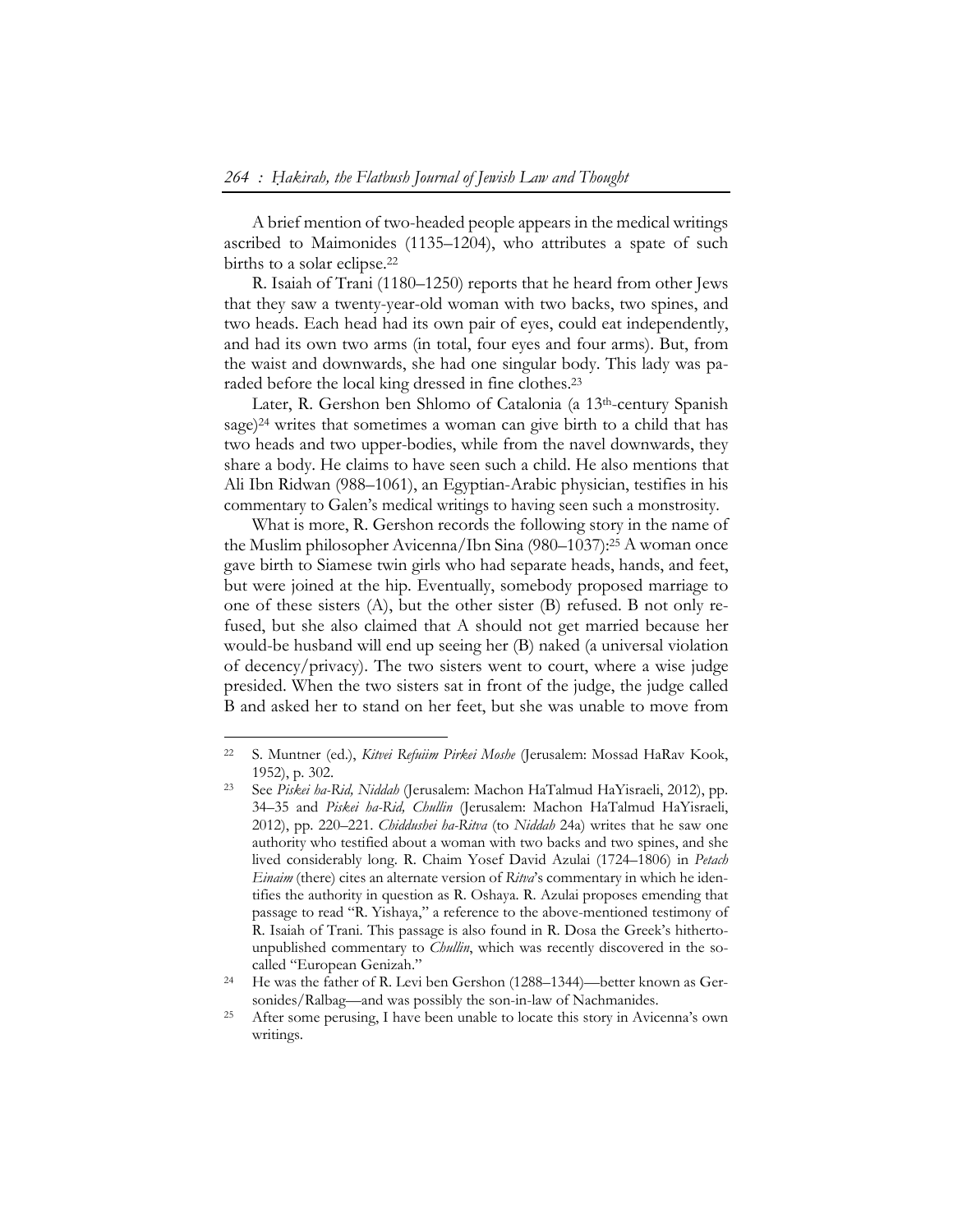A brief mention of two-headed people appears in the medical writings ascribed to Maimonides (1135–1204), who attributes a spate of such births to a solar eclipse.22

R. Isaiah of Trani (1180–1250) reports that he heard from other Jews that they saw a twenty-year-old woman with two backs, two spines, and two heads. Each head had its own pair of eyes, could eat independently, and had its own two arms (in total, four eyes and four arms). But, from the waist and downwards, she had one singular body. This lady was paraded before the local king dressed in fine clothes.23

Later, R. Gershon ben Shlomo of Catalonia (a 13th-century Spanish sage)<sup>24</sup> writes that sometimes a woman can give birth to a child that has two heads and two upper-bodies, while from the navel downwards, they share a body. He claims to have seen such a child. He also mentions that Ali Ibn Ridwan (988–1061), an Egyptian-Arabic physician, testifies in his commentary to Galen's medical writings to having seen such a monstrosity.

What is more, R. Gershon records the following story in the name of the Muslim philosopher Avicenna/Ibn Sina (980–1037):25 A woman once gave birth to Siamese twin girls who had separate heads, hands, and feet, but were joined at the hip. Eventually, somebody proposed marriage to one of these sisters (A), but the other sister (B) refused. B not only refused, but she also claimed that A should not get married because her would-be husband will end up seeing her (B) naked (a universal violation of decency/privacy). The two sisters went to court, where a wise judge presided. When the two sisters sat in front of the judge, the judge called B and asked her to stand on her feet, but she was unable to move from

<sup>22</sup> S. Muntner (ed.), *Kitvei Refuiim Pirkei Moshe* (Jerusalem: Mossad HaRav Kook, 1952), p. 302. 23 See *Piskei ha-Rid, Niddah* (Jerusalem: Machon HaTalmud HaYisraeli, 2012), pp.

<sup>34–35</sup> and *Piskei ha-Rid, Chullin* (Jerusalem: Machon HaTalmud HaYisraeli, 2012), pp. 220–221. *Chiddushei ha-Ritva* (to *Niddah* 24a) writes that he saw one authority who testified about a woman with two backs and two spines, and she lived considerably long. R. Chaim Yosef David Azulai (1724–1806) in *Petach Einaim* (there) cites an alternate version of *Ritva*'s commentary in which he identifies the authority in question as R. Oshaya. R. Azulai proposes emending that passage to read "R. Yishaya," a reference to the above-mentioned testimony of R. Isaiah of Trani. This passage is also found in R. Dosa the Greek's hithertounpublished commentary to *Chullin*, which was recently discovered in the socalled "European Genizah." 24 He was the father of R. Levi ben Gershon (1288–1344)—better known as Ger-

sonides/Ralbag—and was possibly the son-in-law of Nachmanides. 25 After some perusing, I have been unable to locate this story in Avicenna's own writings.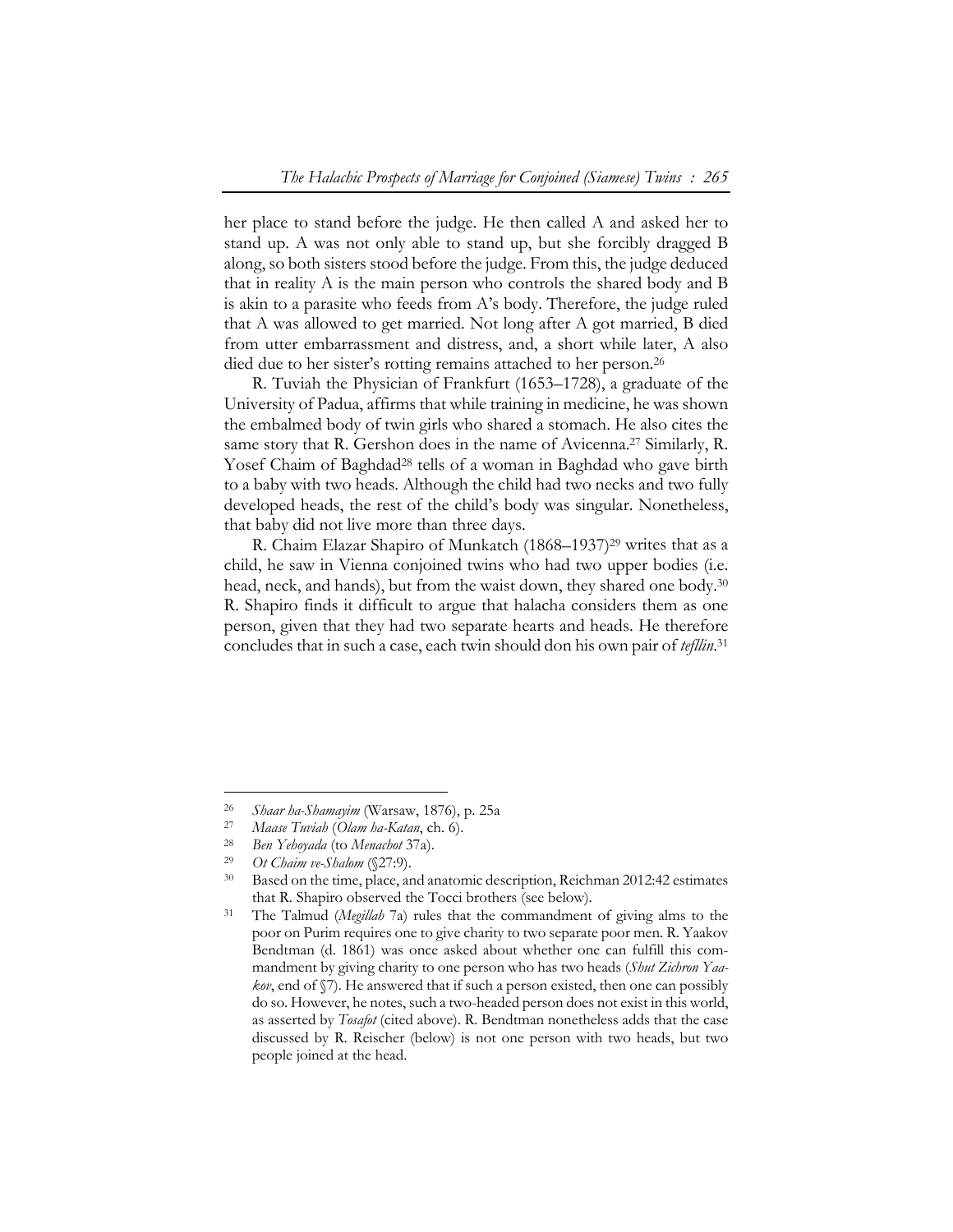her place to stand before the judge. He then called A and asked her to stand up. A was not only able to stand up, but she forcibly dragged B along, so both sisters stood before the judge. From this, the judge deduced that in reality A is the main person who controls the shared body and B is akin to a parasite who feeds from A's body. Therefore, the judge ruled that A was allowed to get married. Not long after A got married, B died from utter embarrassment and distress, and, a short while later, A also died due to her sister's rotting remains attached to her person.<sup>26</sup>

R. Tuviah the Physician of Frankfurt (1653–1728), a graduate of the University of Padua, affirms that while training in medicine, he was shown the embalmed body of twin girls who shared a stomach. He also cites the same story that R. Gershon does in the name of Avicenna.<sup>27</sup> Similarly, R. Yosef Chaim of Baghdad<sup>28</sup> tells of a woman in Baghdad who gave birth to a baby with two heads. Although the child had two necks and two fully developed heads, the rest of the child's body was singular. Nonetheless, that baby did not live more than three days.

R. Chaim Elazar Shapiro of Munkatch (1868–1937)29 writes that as a child, he saw in Vienna conjoined twins who had two upper bodies (i.e. head, neck, and hands), but from the waist down, they shared one body.<sup>30</sup> R. Shapiro finds it difficult to argue that halacha considers them as one person, given that they had two separate hearts and heads. He therefore concludes that in such a case, each twin should don his own pair of *tefllin*. 31

<sup>&</sup>lt;sup>26</sup> Shaar ha-Shamayim (Warsaw, 1876), p. 25a<br>
<sup>27</sup> Maase Tuviah (Olam ha-Katan, ch. 6).<br>
<sup>28</sup> Ben Yehoyada (to Menachot 37a).<br>
<sup>29</sup> Ot Chaim ve-Shalom (§27:9).<br>
<sup>30</sup> Based on the time, place, and anatomic description, Rei that R. Shapiro observed the Tocci brothers (see below). 31 The Talmud (*Megillah* 7a) rules that the commandment of giving alms to the

poor on Purim requires one to give charity to two separate poor men. R. Yaakov Bendtman (d. 1861) was once asked about whether one can fulfill this commandment by giving charity to one person who has two heads (*Shut Zichron Yaakov*, end of  $\sqrt{7}$ ). He answered that if such a person existed, then one can possibly do so. However, he notes, such a two-headed person does not exist in this world, as asserted by *Tosafot* (cited above). R. Bendtman nonetheless adds that the case discussed by R. Reischer (below) is not one person with two heads, but two people joined at the head.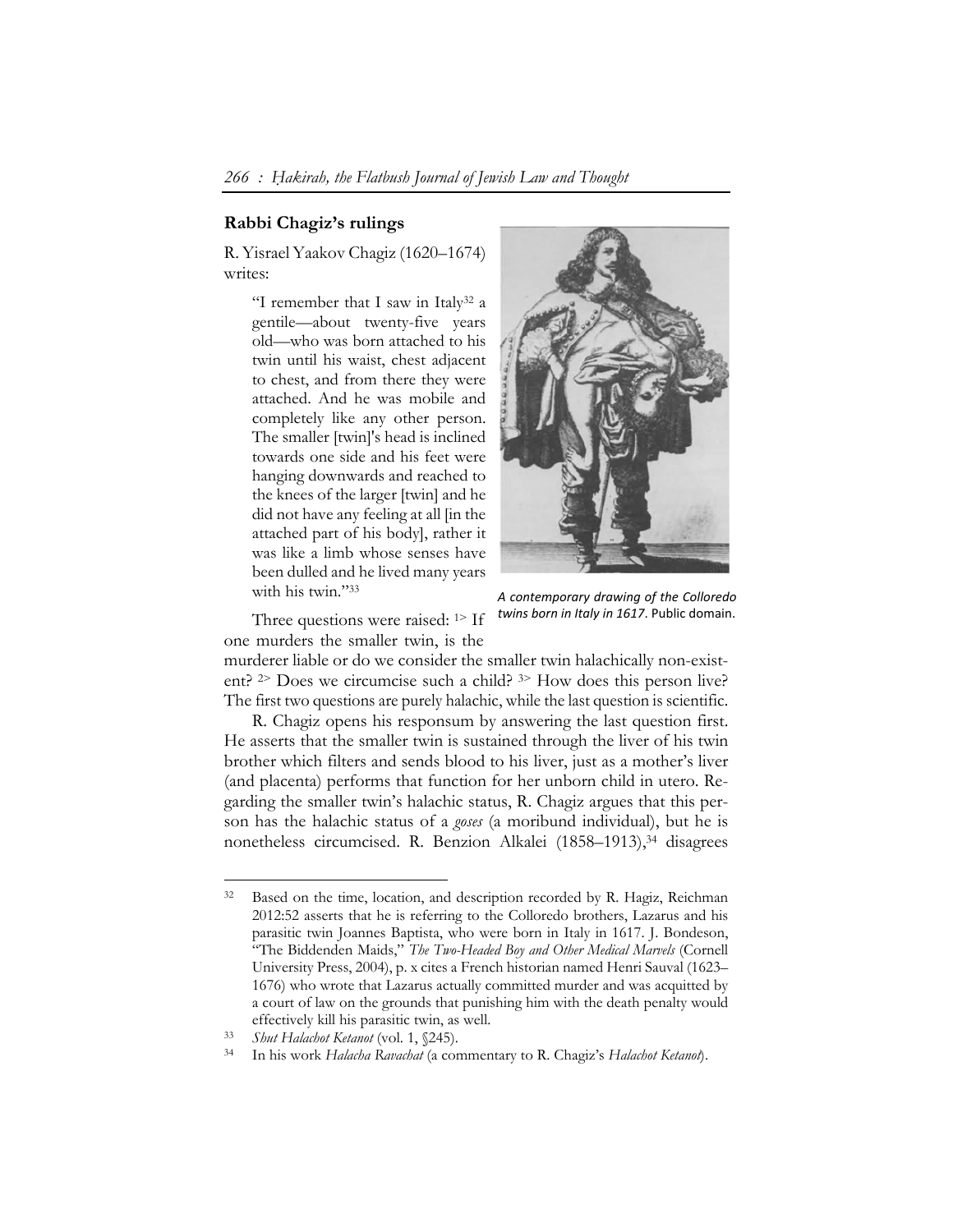# **Rabbi Chagiz's rulings**

R. Yisrael Yaakov Chagiz (1620–1674) writes:

> "I remember that I saw in Italy32 a gentile—about twenty-five years old—who was born attached to his twin until his waist, chest adjacent to chest, and from there they were attached. And he was mobile and completely like any other person. The smaller [twin]'s head is inclined towards one side and his feet were hanging downwards and reached to the knees of the larger [twin] and he did not have any feeling at all [in the attached part of his body], rather it was like a limb whose senses have been dulled and he lived many years with his twin."33



Three questions were raised: <sup>1></sup> If one murders the smaller twin, is the

*A contemporary drawing of the Colloredo twins born in Italy in 1617*. Public domain.

murderer liable or do we consider the smaller twin halachically non-existent? 2> Does we circumcise such a child? 3> How does this person live? The first two questions are purely halachic, while the last question is scientific.

R. Chagiz opens his responsum by answering the last question first. He asserts that the smaller twin is sustained through the liver of his twin brother which filters and sends blood to his liver, just as a mother's liver (and placenta) performs that function for her unborn child in utero. Regarding the smaller twin's halachic status, R. Chagiz argues that this person has the halachic status of a *goses* (a moribund individual), but he is nonetheless circumcised. R. Benzion Alkalei (1858–1913),<sup>34</sup> disagrees

<sup>&</sup>lt;sup>32</sup> Based on the time, location, and description recorded by R. Hagiz, Reichman 2012:52 asserts that he is referring to the Colloredo brothers, Lazarus and his parasitic twin Joannes Baptista, who were born in Italy in 1617. J. Bondeson, "The Biddenden Maids," *The Two-Headed Boy and Other Medical Marvels* (Cornell University Press, 2004), p. x cites a French historian named Henri Sauval (1623– 1676) who wrote that Lazarus actually committed murder and was acquitted by a court of law on the grounds that punishing him with the death penalty would effectively kill his parasitic twin, as well. 33 *Shut Halachot Ketanot* (vol. 1, §245). 34 In his work *Halacha Ravachat* (a commentary to R. Chagiz's *Halachot Ketanot*).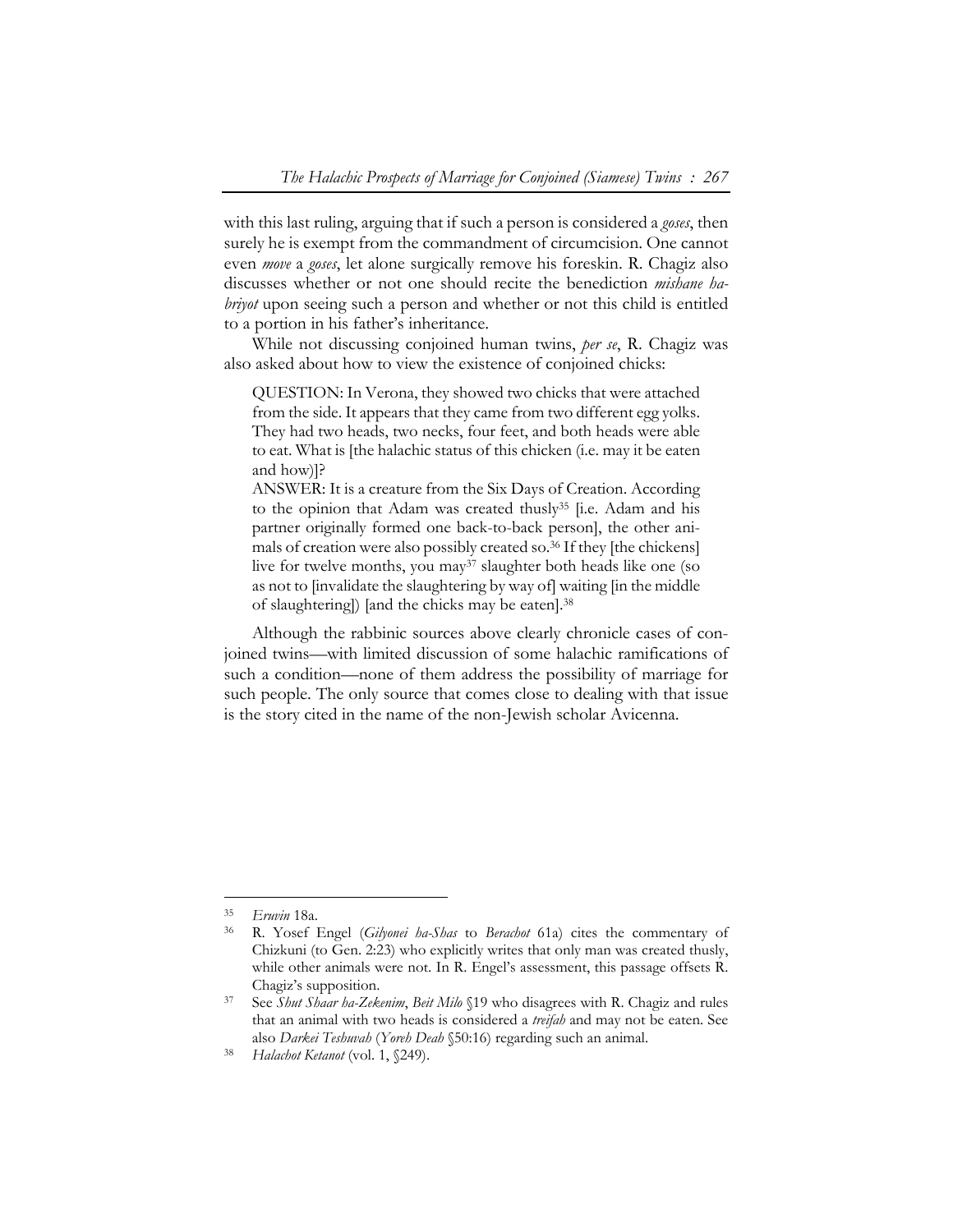with this last ruling, arguing that if such a person is considered a *goses*, then surely he is exempt from the commandment of circumcision. One cannot even *move* a *goses*, let alone surgically remove his foreskin. R. Chagiz also discusses whether or not one should recite the benediction *mishane habriyot* upon seeing such a person and whether or not this child is entitled to a portion in his father's inheritance.

While not discussing conjoined human twins, *per se*, R. Chagiz was also asked about how to view the existence of conjoined chicks:

QUESTION: In Verona, they showed two chicks that were attached from the side. It appears that they came from two different egg yolks. They had two heads, two necks, four feet, and both heads were able to eat. What is [the halachic status of this chicken (i.e. may it be eaten and how)]?

ANSWER: It is a creature from the Six Days of Creation. According to the opinion that Adam was created thusly<sup>35</sup> [i.e. Adam and his partner originally formed one back-to-back person], the other animals of creation were also possibly created so.36 If they [the chickens] live for twelve months, you may<sup>37</sup> slaughter both heads like one (so as not to [invalidate the slaughtering by way of] waiting [in the middle of slaughtering]) [and the chicks may be eaten].38

Although the rabbinic sources above clearly chronicle cases of conjoined twins—with limited discussion of some halachic ramifications of such a condition—none of them address the possibility of marriage for such people. The only source that comes close to dealing with that issue is the story cited in the name of the non-Jewish scholar Avicenna.

<sup>35</sup>*Eruvin* 18a. 36 R. Yosef Engel (*Gilyonei ha-Shas* to *Berachot* 61a) cites the commentary of Chizkuni (to Gen. 2:23) who explicitly writes that only man was created thusly, while other animals were not. In R. Engel's assessment, this passage offsets R. Chagiz's supposition. 37 See *Shut Shaar ha-Zekenim*, *Beit Milo* §19 who disagrees with R. Chagiz and rules

that an animal with two heads is considered a *treifah* and may not be eaten. See also *Darkei Teshuvah* (*Yoreh Deah* §50:16) regarding such an animal. 38 *Halachot Ketanot* (vol. 1, §249).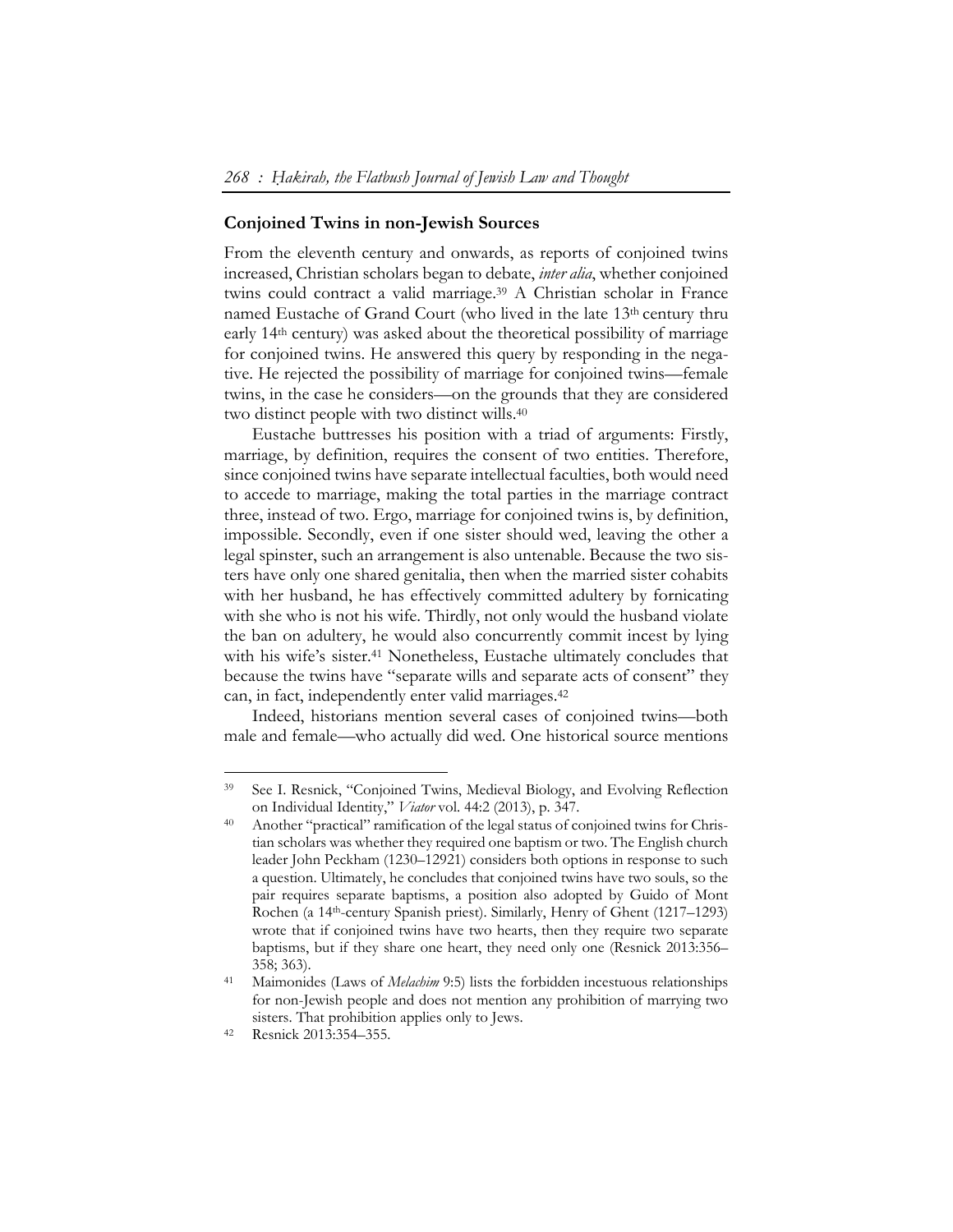#### **Conjoined Twins in non-Jewish Sources**

From the eleventh century and onwards, as reports of conjoined twins increased, Christian scholars began to debate, *inter alia*, whether conjoined twins could contract a valid marriage.39 A Christian scholar in France named Eustache of Grand Court (who lived in the late 13<sup>th</sup> century thru early 14th century) was asked about the theoretical possibility of marriage for conjoined twins. He answered this query by responding in the negative. He rejected the possibility of marriage for conjoined twins—female twins, in the case he considers—on the grounds that they are considered two distinct people with two distinct wills.40

Eustache buttresses his position with a triad of arguments: Firstly, marriage, by definition, requires the consent of two entities. Therefore, since conjoined twins have separate intellectual faculties, both would need to accede to marriage, making the total parties in the marriage contract three, instead of two. Ergo, marriage for conjoined twins is, by definition, impossible. Secondly, even if one sister should wed, leaving the other a legal spinster, such an arrangement is also untenable. Because the two sisters have only one shared genitalia, then when the married sister cohabits with her husband, he has effectively committed adultery by fornicating with she who is not his wife. Thirdly, not only would the husband violate the ban on adultery, he would also concurrently commit incest by lying with his wife's sister.<sup>41</sup> Nonetheless, Eustache ultimately concludes that because the twins have "separate wills and separate acts of consent" they can, in fact, independently enter valid marriages.42

Indeed, historians mention several cases of conjoined twins—both male and female—who actually did wed. One historical source mentions

<sup>39</sup> See I. Resnick, "Conjoined Twins, Medieval Biology, and Evolving Reflection on Individual Identity," *Viator* vol. 44:2 (2013), p. 347.<br><sup>40</sup> Another "practical" ramification of the legal status of conjoined twins for Chris-

tian scholars was whether they required one baptism or two. The English church leader John Peckham (1230–12921) considers both options in response to such a question. Ultimately, he concludes that conjoined twins have two souls, so the pair requires separate baptisms, a position also adopted by Guido of Mont Rochen (a 14th-century Spanish priest). Similarly, Henry of Ghent (1217–1293) wrote that if conjoined twins have two hearts, then they require two separate baptisms, but if they share one heart, they need only one (Resnick 2013:356– 358; 363). 41 Maimonides (Laws of *Melachim* 9:5) lists the forbidden incestuous relationships

for non-Jewish people and does not mention any prohibition of marrying two sisters. That prohibition applies only to Jews. 42 Resnick 2013:354–355.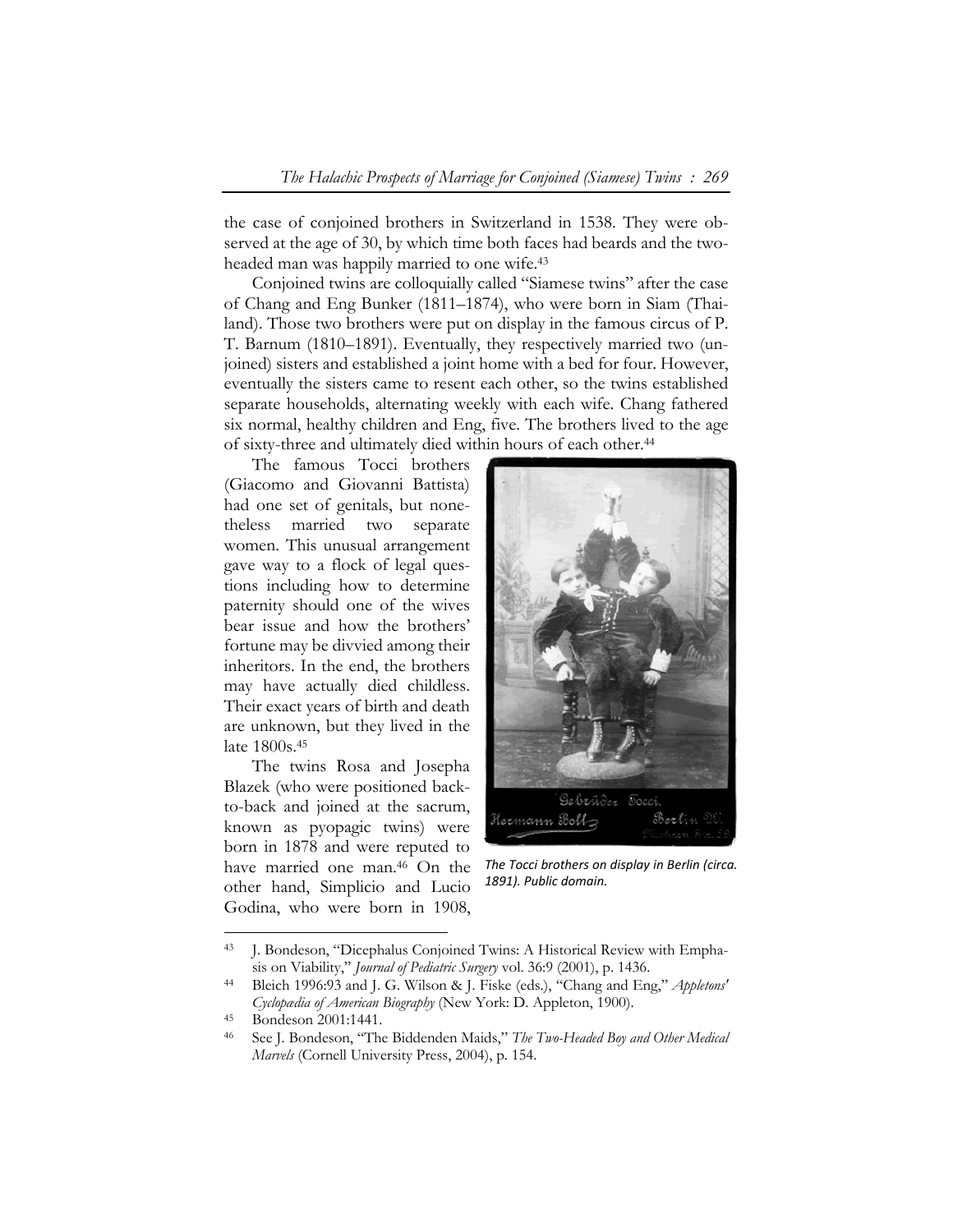the case of conjoined brothers in Switzerland in 1538. They were observed at the age of 30, by which time both faces had beards and the twoheaded man was happily married to one wife.43

Conjoined twins are colloquially called "Siamese twins" after the case of Chang and Eng Bunker (1811–1874), who were born in Siam (Thailand). Those two brothers were put on display in the famous circus of P. T. Barnum (1810–1891). Eventually, they respectively married two (unjoined) sisters and established a joint home with a bed for four. However, eventually the sisters came to resent each other, so the twins established separate households, alternating weekly with each wife. Chang fathered six normal, healthy children and Eng, five. The brothers lived to the age of sixty-three and ultimately died within hours of each other.44

The famous Tocci brothers (Giacomo and Giovanni Battista) had one set of genitals, but nonetheless married two separate women. This unusual arrangement gave way to a flock of legal questions including how to determine paternity should one of the wives bear issue and how the brothers' fortune may be divvied among their inheritors. In the end, the brothers may have actually died childless. Their exact years of birth and death are unknown, but they lived in the late 1800s.45

The twins Rosa and Josepha Blazek (who were positioned backto-back and joined at the sacrum, known as pyopagic twins) were born in 1878 and were reputed to have married one man.46 On the other hand, Simplicio and Lucio Godina, who were born in 1908,



*The Tocci brothers on display in Berlin (circa. 1891). Public domain.* 

<sup>43</sup> J. Bondeson, "Dicephalus Conjoined Twins: A Historical Review with Empha-

sis on Viability," *Journal of Pediatric Surgery* vol. 36:9 (2001), p. 1436. 44 Bleich 1996:93 and J. G. Wilson & J. Fiske (eds.), "Chang and Eng," *Appletons' Cyclopædia of American Biography* (New York: D. Appleton, 1900).<br><sup>45</sup> Bondeson 2001:1441.

<sup>46</sup> See J. Bondeson, "The Biddenden Maids," *The Two-Headed Boy and Other Medical Marvels* (Cornell University Press, 2004), p. 154.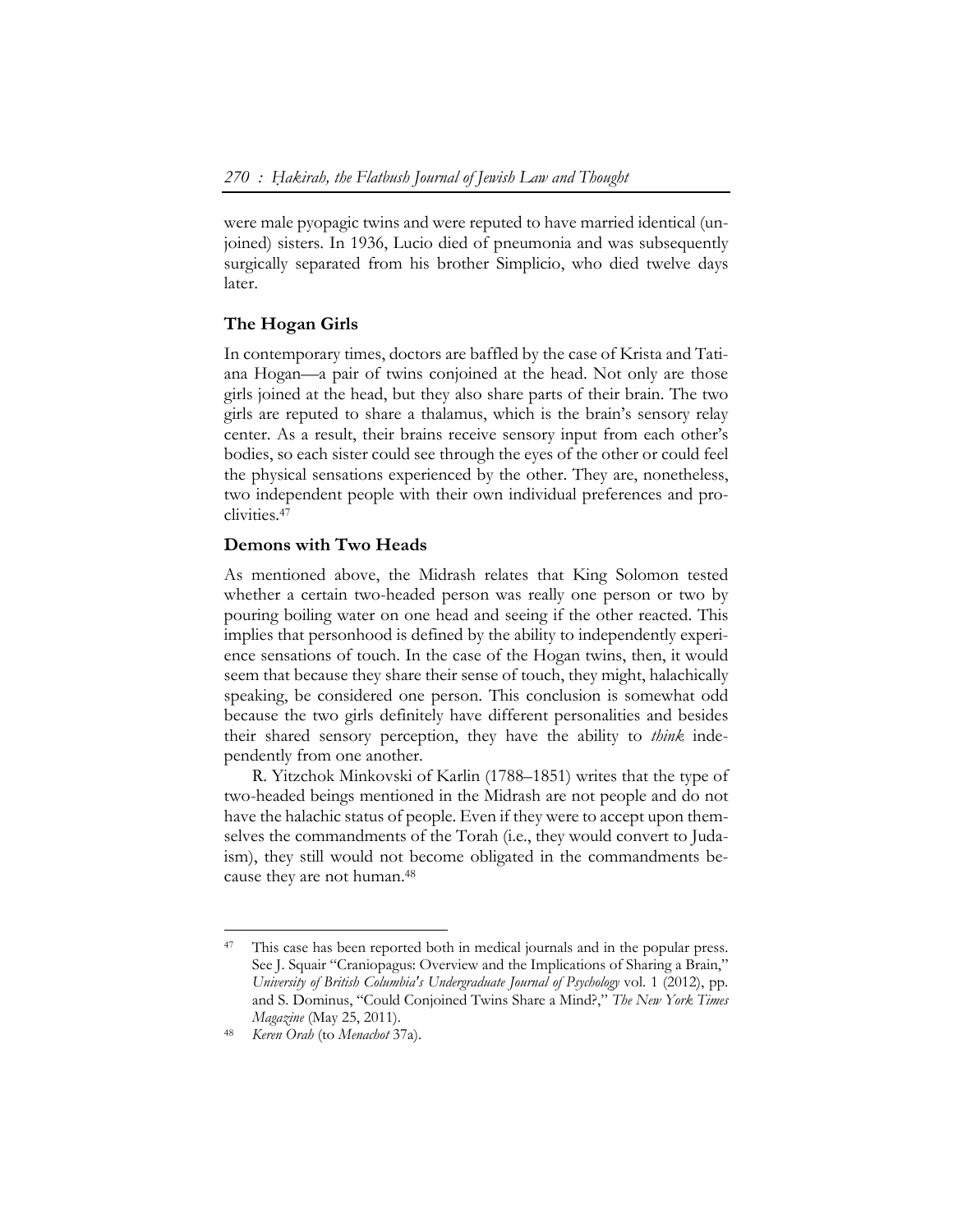were male pyopagic twins and were reputed to have married identical (unjoined) sisters. In 1936, Lucio died of pneumonia and was subsequently surgically separated from his brother Simplicio, who died twelve days later.

# **The Hogan Girls**

In contemporary times, doctors are baffled by the case of Krista and Tatiana Hogan—a pair of twins conjoined at the head. Not only are those girls joined at the head, but they also share parts of their brain. The two girls are reputed to share a thalamus, which is the brain's sensory relay center. As a result, their brains receive sensory input from each other's bodies, so each sister could see through the eyes of the other or could feel the physical sensations experienced by the other. They are, nonetheless, two independent people with their own individual preferences and proclivities.47

## **Demons with Two Heads**

As mentioned above, the Midrash relates that King Solomon tested whether a certain two-headed person was really one person or two by pouring boiling water on one head and seeing if the other reacted. This implies that personhood is defined by the ability to independently experience sensations of touch. In the case of the Hogan twins, then, it would seem that because they share their sense of touch, they might, halachically speaking, be considered one person. This conclusion is somewhat odd because the two girls definitely have different personalities and besides their shared sensory perception, they have the ability to *think* independently from one another.

R. Yitzchok Minkovski of Karlin (1788–1851) writes that the type of two-headed beings mentioned in the Midrash are not people and do not have the halachic status of people. Even if they were to accept upon themselves the commandments of the Torah (i.e., they would convert to Judaism), they still would not become obligated in the commandments because they are not human.48

<sup>&</sup>lt;sup>47</sup> This case has been reported both in medical journals and in the popular press. See J. Squair "Craniopagus: Overview and the Implications of Sharing a Brain," *University of British Columbia's Undergraduate Journal of Psychology* vol. 1 (2012), pp. and S. Dominus, "Could Conjoined Twins Share a Mind?," *The New York Times Magazine* (May 25, 2011). 48 *Keren Orah* (to *Menachot* 37a).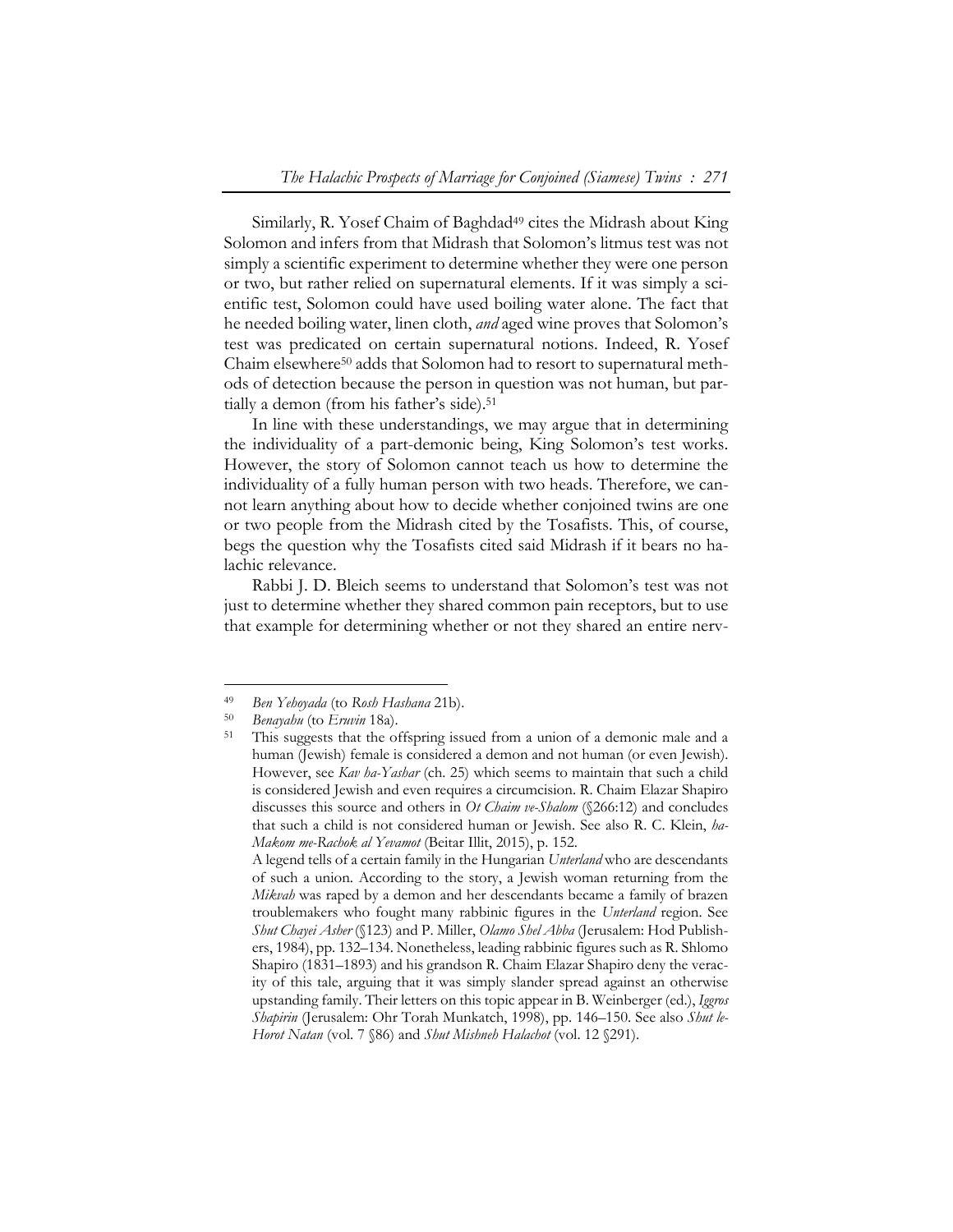Similarly, R. Yosef Chaim of Baghdad<sup>49</sup> cites the Midrash about King Solomon and infers from that Midrash that Solomon's litmus test was not simply a scientific experiment to determine whether they were one person or two, but rather relied on supernatural elements. If it was simply a scientific test, Solomon could have used boiling water alone. The fact that he needed boiling water, linen cloth, *and* aged wine proves that Solomon's test was predicated on certain supernatural notions. Indeed, R. Yosef Chaim elsewhere50 adds that Solomon had to resort to supernatural methods of detection because the person in question was not human, but partially a demon (from his father's side).<sup>51</sup>

In line with these understandings, we may argue that in determining the individuality of a part-demonic being, King Solomon's test works. However, the story of Solomon cannot teach us how to determine the individuality of a fully human person with two heads. Therefore, we cannot learn anything about how to decide whether conjoined twins are one or two people from the Midrash cited by the Tosafists. This, of course, begs the question why the Tosafists cited said Midrash if it bears no halachic relevance.

Rabbi J. D. Bleich seems to understand that Solomon's test was not just to determine whether they shared common pain receptors, but to use that example for determining whether or not they shared an entire nerv-

<sup>49</sup>*Ben Yehoyada* (to *Rosh Hashana* 21b). 50 *Benayahu* (to *Eruvin* 18a). 51 This suggests that the offspring issued from a union of a demonic male and a human (Jewish) female is considered a demon and not human (or even Jewish). However, see *Kav ha-Yashar* (ch. 25) which seems to maintain that such a child is considered Jewish and even requires a circumcision. R. Chaim Elazar Shapiro discusses this source and others in *Ot Chaim ve-Shalom* (§266:12) and concludes that such a child is not considered human or Jewish. See also R. C. Klein, *ha-Makom me-Rachok al Yevamot* (Beitar Illit, 2015), p. 152.

A legend tells of a certain family in the Hungarian *Unterland* who are descendants of such a union. According to the story, a Jewish woman returning from the *Mikvah* was raped by a demon and her descendants became a family of brazen troublemakers who fought many rabbinic figures in the *Unterland* region. See *Shut Chayei Asher* (§123) and P. Miller, *Olamo Shel Abba* (Jerusalem: Hod Publishers, 1984), pp. 132–134. Nonetheless, leading rabbinic figures such as R. Shlomo Shapiro (1831–1893) and his grandson R. Chaim Elazar Shapiro deny the veracity of this tale, arguing that it was simply slander spread against an otherwise upstanding family. Their letters on this topic appear in B. Weinberger (ed.), *Iggros Shapirin* (Jerusalem: Ohr Torah Munkatch, 1998), pp. 146–150. See also *Shut le-Horot Natan* (vol. 7 §86) and *Shut Mishneh Halachot* (vol. 12 §291).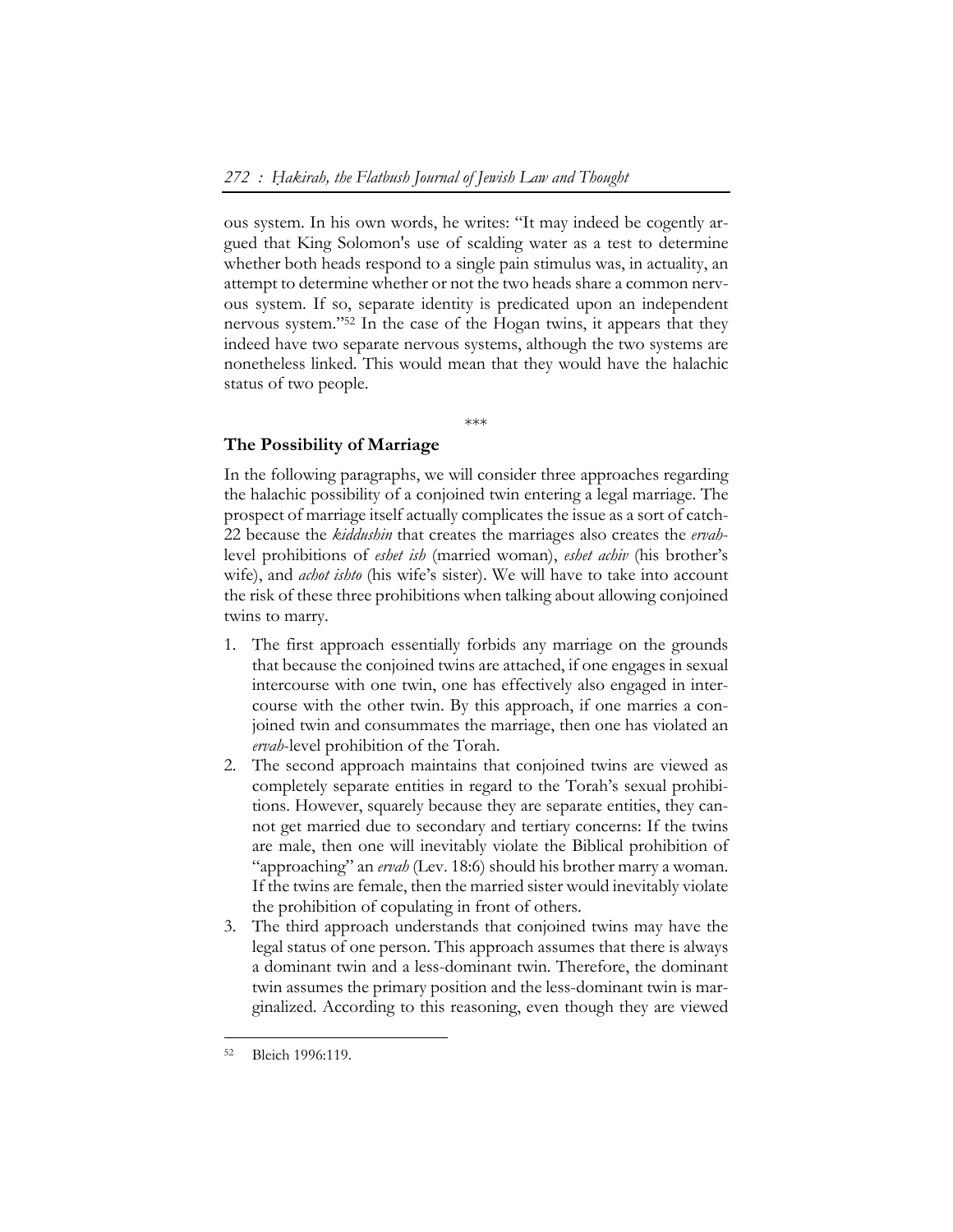ous system. In his own words, he writes: "It may indeed be cogently argued that King Solomon's use of scalding water as a test to determine whether both heads respond to a single pain stimulus was, in actuality, an attempt to determine whether or not the two heads share a common nervous system. If so, separate identity is predicated upon an independent nervous system."52 In the case of the Hogan twins, it appears that they indeed have two separate nervous systems, although the two systems are nonetheless linked. This would mean that they would have the halachic status of two people.

\*\*\*

#### **The Possibility of Marriage**

In the following paragraphs, we will consider three approaches regarding the halachic possibility of a conjoined twin entering a legal marriage. The prospect of marriage itself actually complicates the issue as a sort of catch-22 because the *kiddushin* that creates the marriages also creates the *ervah*level prohibitions of *eshet ish* (married woman), *eshet achiv* (his brother's wife), and *achot ishto* (his wife's sister). We will have to take into account the risk of these three prohibitions when talking about allowing conjoined twins to marry.

- 1. The first approach essentially forbids any marriage on the grounds that because the conjoined twins are attached, if one engages in sexual intercourse with one twin, one has effectively also engaged in intercourse with the other twin. By this approach, if one marries a conjoined twin and consummates the marriage, then one has violated an *ervah*-level prohibition of the Torah.
- 2. The second approach maintains that conjoined twins are viewed as completely separate entities in regard to the Torah's sexual prohibitions. However, squarely because they are separate entities, they cannot get married due to secondary and tertiary concerns: If the twins are male, then one will inevitably violate the Biblical prohibition of "approaching" an *ervah* (Lev. 18:6) should his brother marry a woman. If the twins are female, then the married sister would inevitably violate the prohibition of copulating in front of others.
- 3. The third approach understands that conjoined twins may have the legal status of one person. This approach assumes that there is always a dominant twin and a less-dominant twin. Therefore, the dominant twin assumes the primary position and the less-dominant twin is marginalized. According to this reasoning, even though they are viewed

<sup>52</sup> Bleich 1996:119.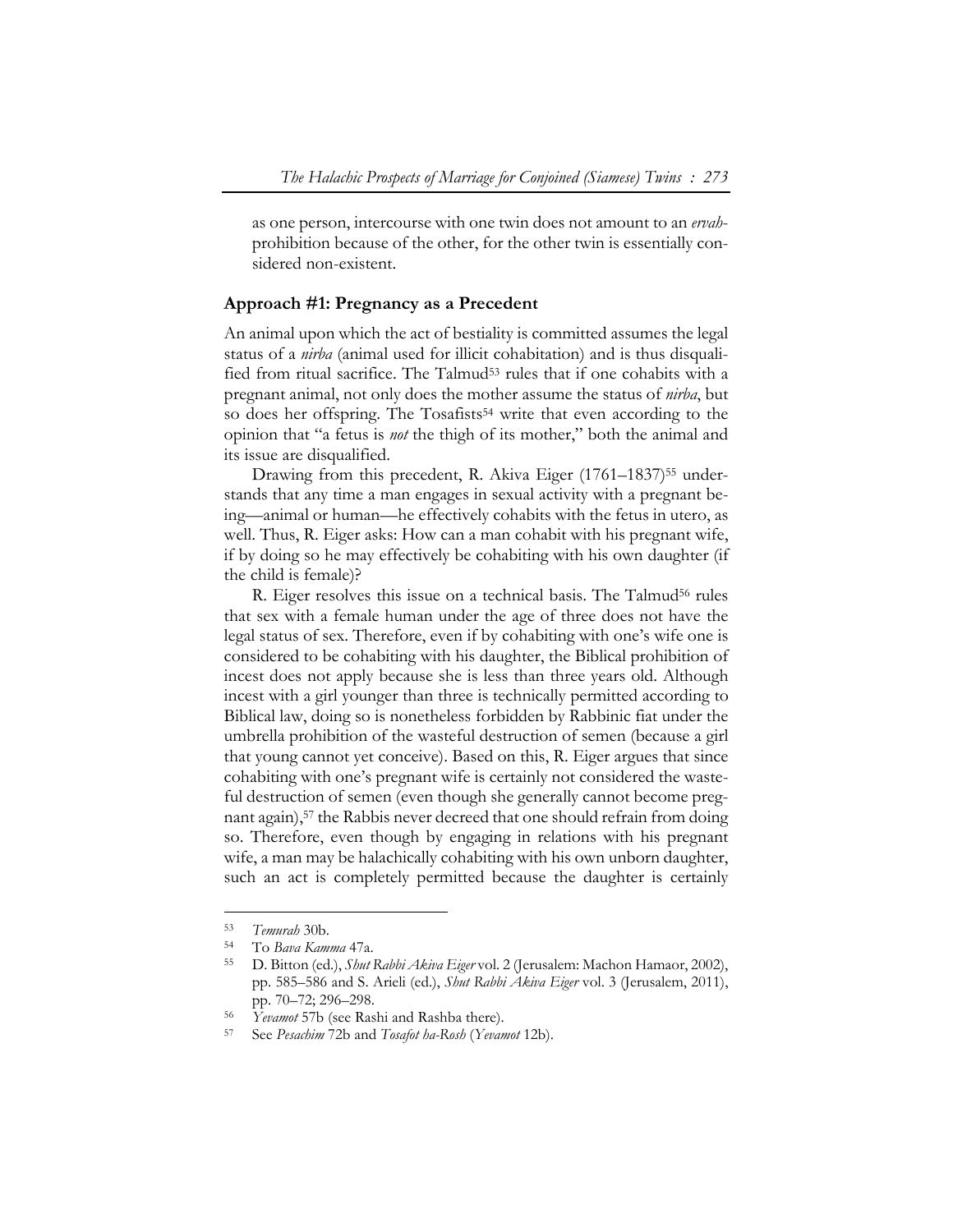as one person, intercourse with one twin does not amount to an *ervah*prohibition because of the other, for the other twin is essentially considered non-existent.

#### **Approach #1: Pregnancy as a Precedent**

An animal upon which the act of bestiality is committed assumes the legal status of a *nirba* (animal used for illicit cohabitation) and is thus disqualified from ritual sacrifice. The Talmud<sup>53</sup> rules that if one cohabits with a pregnant animal, not only does the mother assume the status of *nirba*, but so does her offspring. The Tosafists<sup>54</sup> write that even according to the opinion that "a fetus is *not* the thigh of its mother," both the animal and its issue are disqualified.

Drawing from this precedent, R. Akiva Eiger (1761–1837)<sup>55</sup> understands that any time a man engages in sexual activity with a pregnant being—animal or human—he effectively cohabits with the fetus in utero, as well. Thus, R. Eiger asks: How can a man cohabit with his pregnant wife, if by doing so he may effectively be cohabiting with his own daughter (if the child is female)?

R. Eiger resolves this issue on a technical basis. The Talmud<sup>56</sup> rules that sex with a female human under the age of three does not have the legal status of sex. Therefore, even if by cohabiting with one's wife one is considered to be cohabiting with his daughter, the Biblical prohibition of incest does not apply because she is less than three years old. Although incest with a girl younger than three is technically permitted according to Biblical law, doing so is nonetheless forbidden by Rabbinic fiat under the umbrella prohibition of the wasteful destruction of semen (because a girl that young cannot yet conceive). Based on this, R. Eiger argues that since cohabiting with one's pregnant wife is certainly not considered the wasteful destruction of semen (even though she generally cannot become pregnant again),<sup>57</sup> the Rabbis never decreed that one should refrain from doing so. Therefore, even though by engaging in relations with his pregnant wife, a man may be halachically cohabiting with his own unborn daughter, such an act is completely permitted because the daughter is certainly

<sup>53</sup>*Temurah* 30b. 54 To *Bava Kamma* 47a. 55 D. Bitton (ed.), *Shut Rabbi Akiva Eiger* vol. 2 (Jerusalem: Machon Hamaor, 2002), pp. 585–586 and S. Arieli (ed.), *Shut Rabbi Akiva Eiger* vol. 3 (Jerusalem, 2011), pp. 70–72; 296–298. 56 *Yevamot* 57b (see Rashi and Rashba there). 57 See *Pesachim* 72b and *Tosafot ha-Rosh* (*Yevamot* 12b).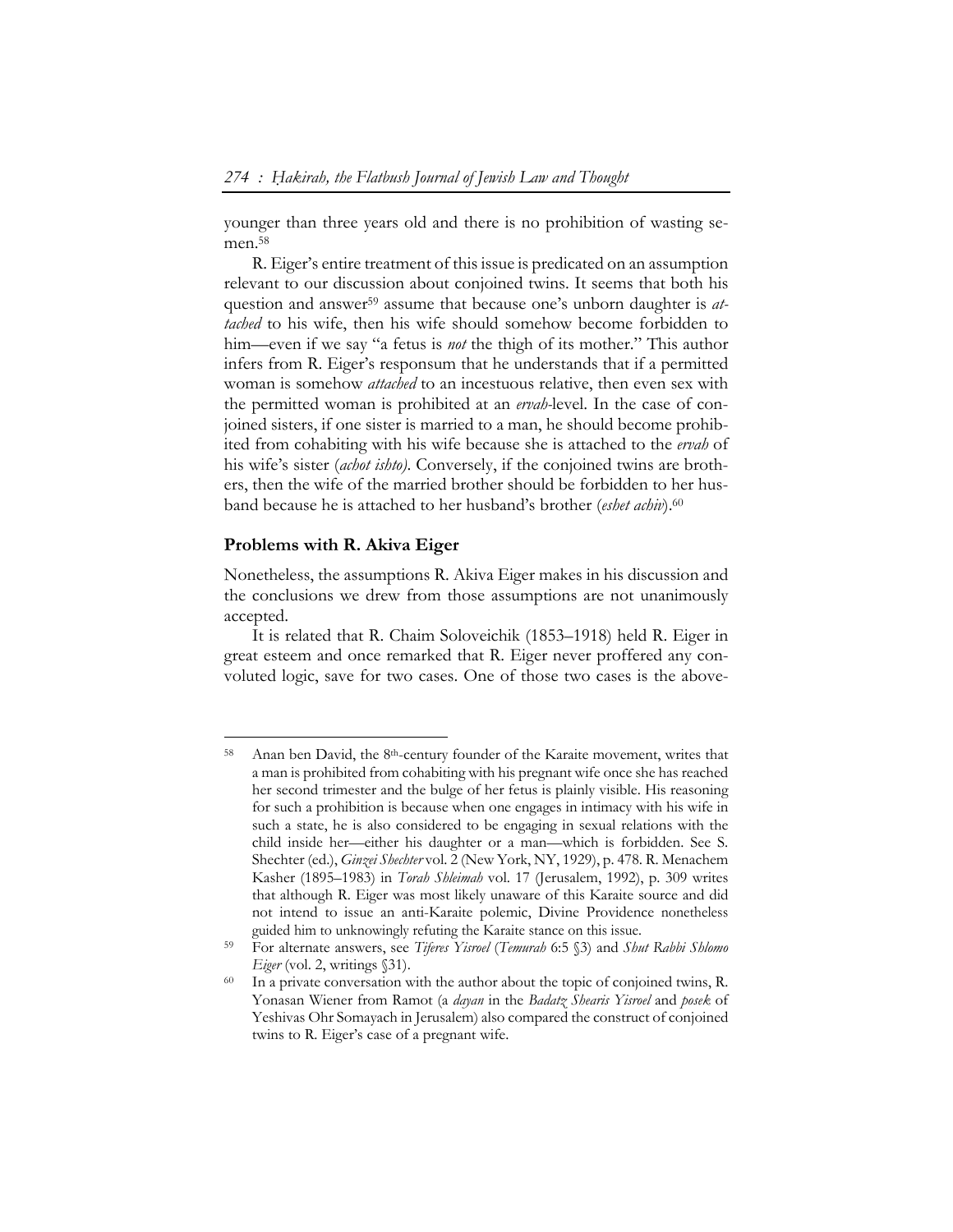younger than three years old and there is no prohibition of wasting semen.<sup>58</sup>

R. Eiger's entire treatment of this issue is predicated on an assumption relevant to our discussion about conjoined twins. It seems that both his question and answer59 assume that because one's unborn daughter is *attached* to his wife, then his wife should somehow become forbidden to him—even if we say "a fetus is *not* the thigh of its mother." This author infers from R. Eiger's responsum that he understands that if a permitted woman is somehow *attached* to an incestuous relative, then even sex with the permitted woman is prohibited at an *ervah-*level. In the case of conjoined sisters, if one sister is married to a man, he should become prohibited from cohabiting with his wife because she is attached to the *ervah* of his wife's sister (*achot ishto)*. Conversely, if the conjoined twins are brothers, then the wife of the married brother should be forbidden to her husband because he is attached to her husband's brother (*eshet achiv*).60

#### **Problems with R. Akiva Eiger**

 $\overline{a}$ 

Nonetheless, the assumptions R. Akiva Eiger makes in his discussion and the conclusions we drew from those assumptions are not unanimously accepted.

It is related that R. Chaim Soloveichik (1853–1918) held R. Eiger in great esteem and once remarked that R. Eiger never proffered any convoluted logic, save for two cases. One of those two cases is the above-

<sup>58</sup> Anan ben David, the 8th-century founder of the Karaite movement, writes that a man is prohibited from cohabiting with his pregnant wife once she has reached her second trimester and the bulge of her fetus is plainly visible. His reasoning for such a prohibition is because when one engages in intimacy with his wife in such a state, he is also considered to be engaging in sexual relations with the child inside her—either his daughter or a man—which is forbidden. See S. Shechter (ed.), *Ginzei Shechter* vol. 2 (New York, NY, 1929), p. 478. R. Menachem Kasher (1895–1983) in *Torah Shleimah* vol. 17 (Jerusalem, 1992), p. 309 writes that although R. Eiger was most likely unaware of this Karaite source and did not intend to issue an anti-Karaite polemic, Divine Providence nonetheless guided him to unknowingly refuting the Karaite stance on this issue.

<sup>59</sup> For alternate answers, see *Tiferes Yisroel* (*Temurah* 6:5 §3) and *Shut Rabbi Shlomo* 

*Eiger* (vol. 2, writings §31). <sup>60</sup> In a private conversation with the author about the topic of conjoined twins, R. Yonasan Wiener from Ramot (a *dayan* in the *Badatz Shearis Yisroel* and *posek* of Yeshivas Ohr Somayach in Jerusalem) also compared the construct of conjoined twins to R. Eiger's case of a pregnant wife.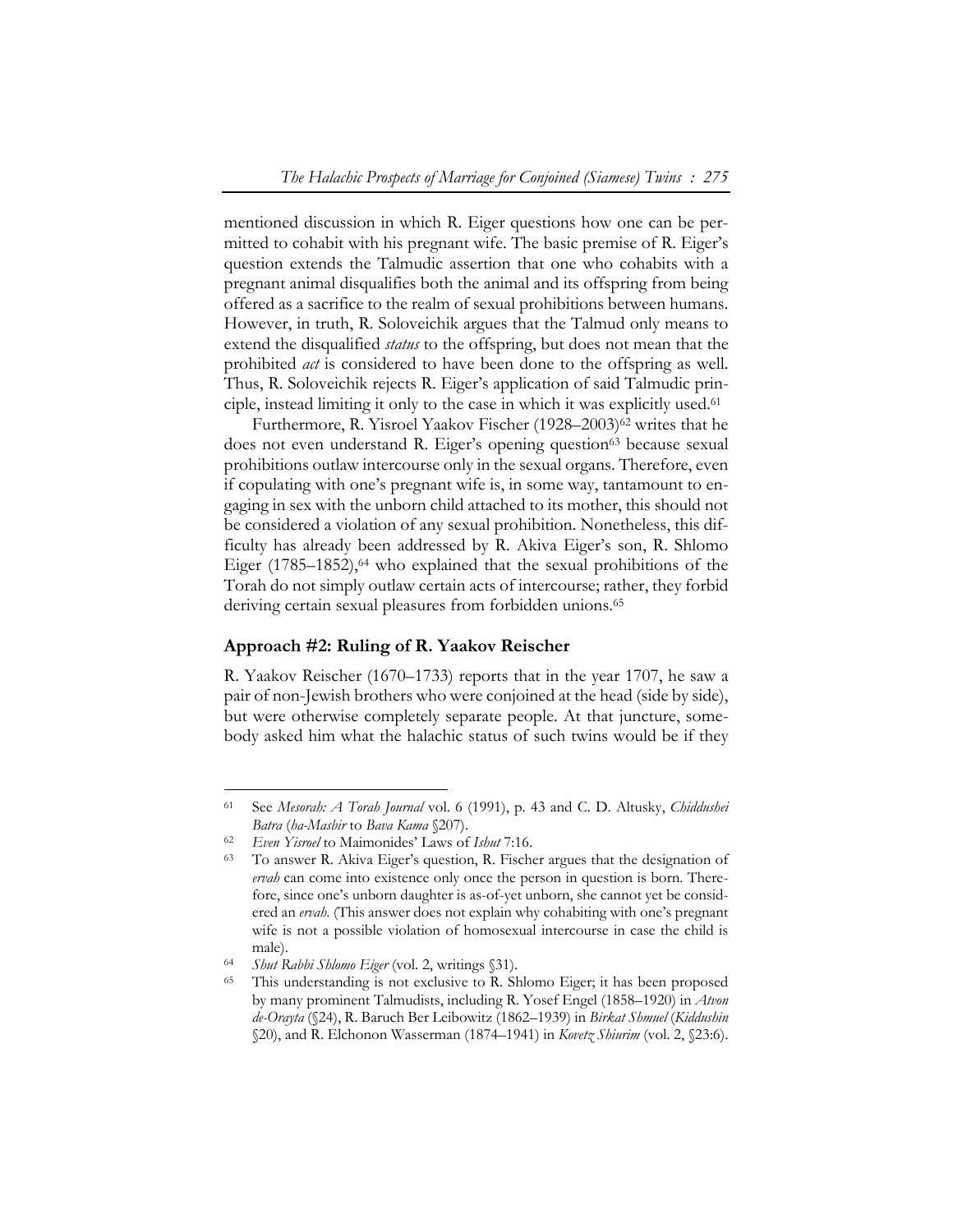mentioned discussion in which R. Eiger questions how one can be permitted to cohabit with his pregnant wife. The basic premise of R. Eiger's question extends the Talmudic assertion that one who cohabits with a pregnant animal disqualifies both the animal and its offspring from being offered as a sacrifice to the realm of sexual prohibitions between humans. However, in truth, R. Soloveichik argues that the Talmud only means to extend the disqualified *status* to the offspring, but does not mean that the prohibited *act* is considered to have been done to the offspring as well. Thus, R. Soloveichik rejects R. Eiger's application of said Talmudic principle, instead limiting it only to the case in which it was explicitly used.61

Furthermore, R. Yisroel Yaakov Fischer (1928–2003)<sup>62</sup> writes that he does not even understand R. Eiger's opening question<sup>63</sup> because sexual prohibitions outlaw intercourse only in the sexual organs. Therefore, even if copulating with one's pregnant wife is, in some way, tantamount to engaging in sex with the unborn child attached to its mother, this should not be considered a violation of any sexual prohibition. Nonetheless, this difficulty has already been addressed by R. Akiva Eiger's son, R. Shlomo Eiger  $(1785-1852)$ , <sup>64</sup> who explained that the sexual prohibitions of the Torah do not simply outlaw certain acts of intercourse; rather, they forbid deriving certain sexual pleasures from forbidden unions.<sup>65</sup>

## **Approach #2: Ruling of R. Yaakov Reischer**

R. Yaakov Reischer (1670–1733) reports that in the year 1707, he saw a pair of non-Jewish brothers who were conjoined at the head (side by side), but were otherwise completely separate people. At that juncture, somebody asked him what the halachic status of such twins would be if they

<sup>61</sup> See *Mesorah: A Torah Journal* vol. 6 (1991), p. 43 and C. D. Altusky, *Chiddushei Batra* (*ha-Masbir* to *Bava Kama* §207).<br>
<sup>62</sup> *Even Yisroel* to Maimonides' Laws of *Ishut* 7:16.<br>
<sup>63</sup> To answer R. Akiva Eiger's question, R. Fischer argues that the designation of

*ervah* can come into existence only once the person in question is born. Therefore, since one's unborn daughter is as-of-yet unborn, she cannot yet be considered an *ervah*. (This answer does not explain why cohabiting with one's pregnant wife is not a possible violation of homosexual intercourse in case the child is male).<br><sup>64</sup> *Shut Rabbi Shlomo Eiger* (vol. 2, writings §31).<br><sup>65</sup> This understanding is not exclusive to R. Shlomo Eiger; it has been proposed

by many prominent Talmudists, including R. Yosef Engel (1858–1920) in *Atvon de-Orayta* (§24), R. Baruch Ber Leibowitz (1862–1939) in *Birkat Shmuel* (*Kiddushin* §20), and R. Elchonon Wasserman (1874–1941) in *Kovetz Shiurim* (vol. 2, §23:6).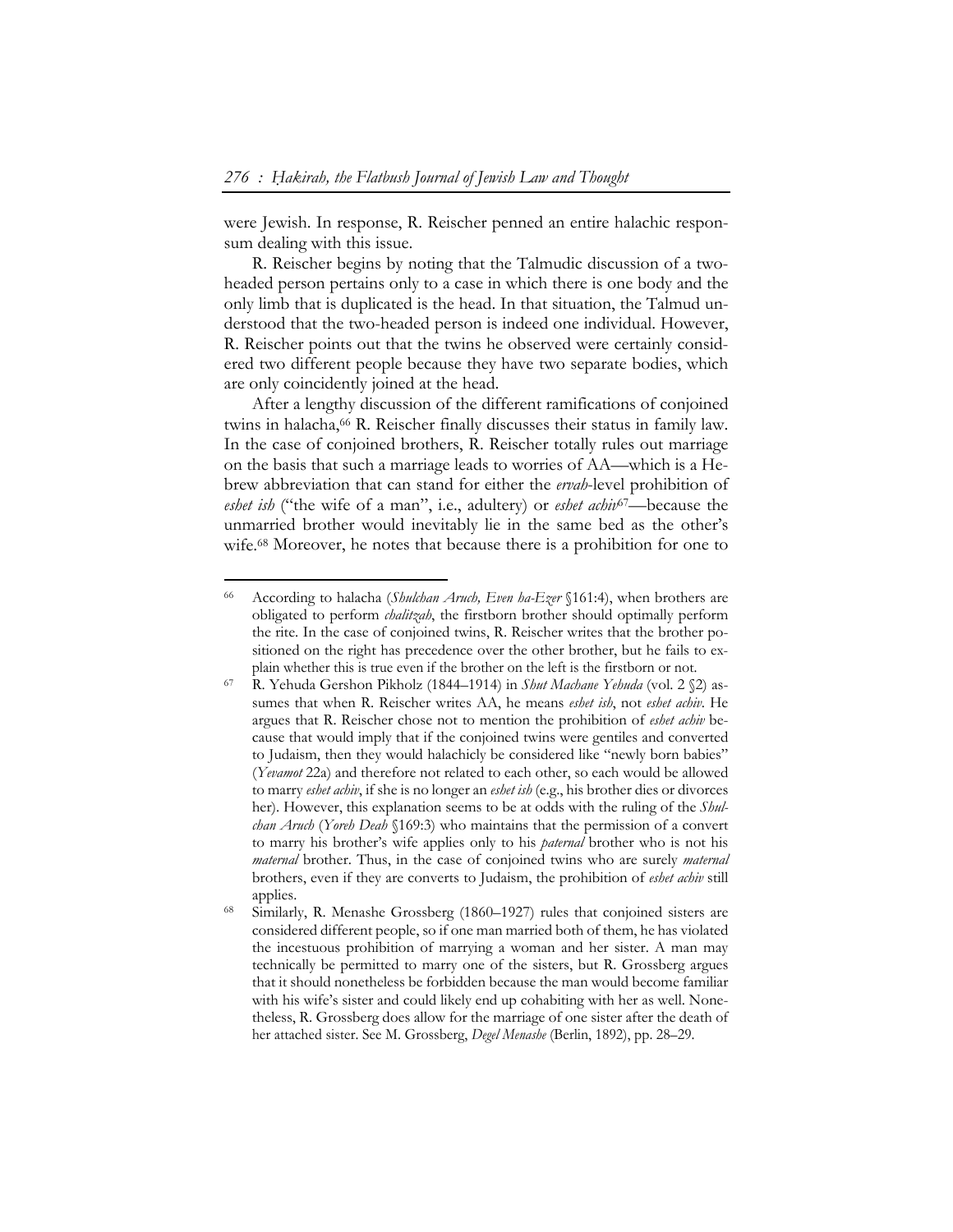were Jewish. In response, R. Reischer penned an entire halachic responsum dealing with this issue.

R. Reischer begins by noting that the Talmudic discussion of a twoheaded person pertains only to a case in which there is one body and the only limb that is duplicated is the head. In that situation, the Talmud understood that the two-headed person is indeed one individual. However, R. Reischer points out that the twins he observed were certainly considered two different people because they have two separate bodies, which are only coincidently joined at the head.

After a lengthy discussion of the different ramifications of conjoined twins in halacha,66 R. Reischer finally discusses their status in family law. In the case of conjoined brothers, R. Reischer totally rules out marriage on the basis that such a marriage leads to worries of AA—which is a Hebrew abbreviation that can stand for either the *ervah*-level prohibition of *eshet ish* ("the wife of a man", i.e., adultery) or *eshet achiv*67—because the unmarried brother would inevitably lie in the same bed as the other's wife.68 Moreover, he notes that because there is a prohibition for one to

<sup>66</sup> According to halacha (*Shulchan Aruch, Even ha-Ezer* §161:4), when brothers are obligated to perform *chalitzah*, the firstborn brother should optimally perform the rite. In the case of conjoined twins, R. Reischer writes that the brother positioned on the right has precedence over the other brother, but he fails to explain whether this is true even if the brother on the left is the firstborn or not.

<sup>67</sup> R. Yehuda Gershon Pikholz (1844–1914) in *Shut Machane Yehuda* (vol. 2 §2) assumes that when R. Reischer writes AA, he means *eshet ish*, not *eshet achiv*. He argues that R. Reischer chose not to mention the prohibition of *eshet achiv* because that would imply that if the conjoined twins were gentiles and converted to Judaism, then they would halachicly be considered like "newly born babies" (*Yevamot* 22a) and therefore not related to each other, so each would be allowed to marry *eshet achiv*, if she is no longer an *eshet ish* (e.g., his brother dies or divorces her). However, this explanation seems to be at odds with the ruling of the *Shulchan Aruch* (*Yoreh Deah* §169:3) who maintains that the permission of a convert to marry his brother's wife applies only to his *paternal* brother who is not his *maternal* brother. Thus, in the case of conjoined twins who are surely *maternal* brothers, even if they are converts to Judaism, the prohibition of *eshet achiv* still applies. 68 Similarly, R. Menashe Grossberg (1860–1927) rules that conjoined sisters are

considered different people, so if one man married both of them, he has violated the incestuous prohibition of marrying a woman and her sister. A man may technically be permitted to marry one of the sisters, but R. Grossberg argues that it should nonetheless be forbidden because the man would become familiar with his wife's sister and could likely end up cohabiting with her as well. Nonetheless, R. Grossberg does allow for the marriage of one sister after the death of her attached sister. See M. Grossberg, *Degel Menashe* (Berlin, 1892), pp. 28–29.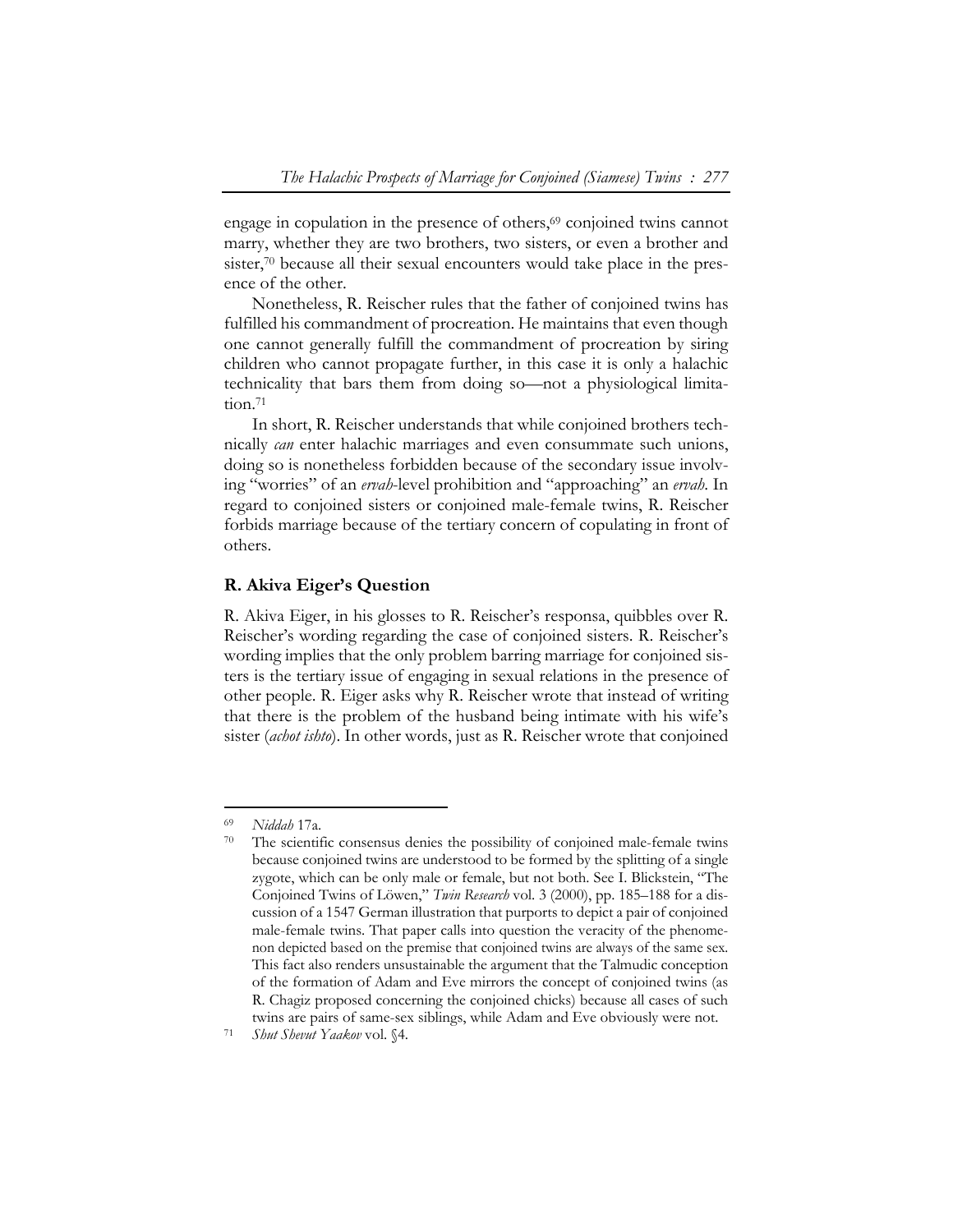engage in copulation in the presence of others,<sup>69</sup> conjoined twins cannot marry, whether they are two brothers, two sisters, or even a brother and sister,<sup>70</sup> because all their sexual encounters would take place in the presence of the other.

Nonetheless, R. Reischer rules that the father of conjoined twins has fulfilled his commandment of procreation. He maintains that even though one cannot generally fulfill the commandment of procreation by siring children who cannot propagate further, in this case it is only a halachic technicality that bars them from doing so—not a physiological limitation.<sup>71</sup>

In short, R. Reischer understands that while conjoined brothers technically *can* enter halachic marriages and even consummate such unions, doing so is nonetheless forbidden because of the secondary issue involving "worries" of an *ervah*-level prohibition and "approaching" an *ervah*. In regard to conjoined sisters or conjoined male-female twins, R. Reischer forbids marriage because of the tertiary concern of copulating in front of others.

## **R. Akiva Eiger's Question**

R. Akiva Eiger, in his glosses to R. Reischer's responsa, quibbles over R. Reischer's wording regarding the case of conjoined sisters. R. Reischer's wording implies that the only problem barring marriage for conjoined sisters is the tertiary issue of engaging in sexual relations in the presence of other people. R. Eiger asks why R. Reischer wrote that instead of writing that there is the problem of the husband being intimate with his wife's sister (*achot ishto*). In other words, just as R. Reischer wrote that conjoined

<sup>69</sup>*Niddah* 17a. 70 The scientific consensus denies the possibility of conjoined male-female twins because conjoined twins are understood to be formed by the splitting of a single zygote, which can be only male or female, but not both. See I. Blickstein, "The Conjoined Twins of Löwen," *Twin Research* vol. 3 (2000), pp. 185–188 for a discussion of a 1547 German illustration that purports to depict a pair of conjoined male-female twins. That paper calls into question the veracity of the phenomenon depicted based on the premise that conjoined twins are always of the same sex. This fact also renders unsustainable the argument that the Talmudic conception of the formation of Adam and Eve mirrors the concept of conjoined twins (as R. Chagiz proposed concerning the conjoined chicks) because all cases of such twins are pairs of same-sex siblings, while Adam and Eve obviously were not. 71 *Shut Shevut Yaakov* vol. §4.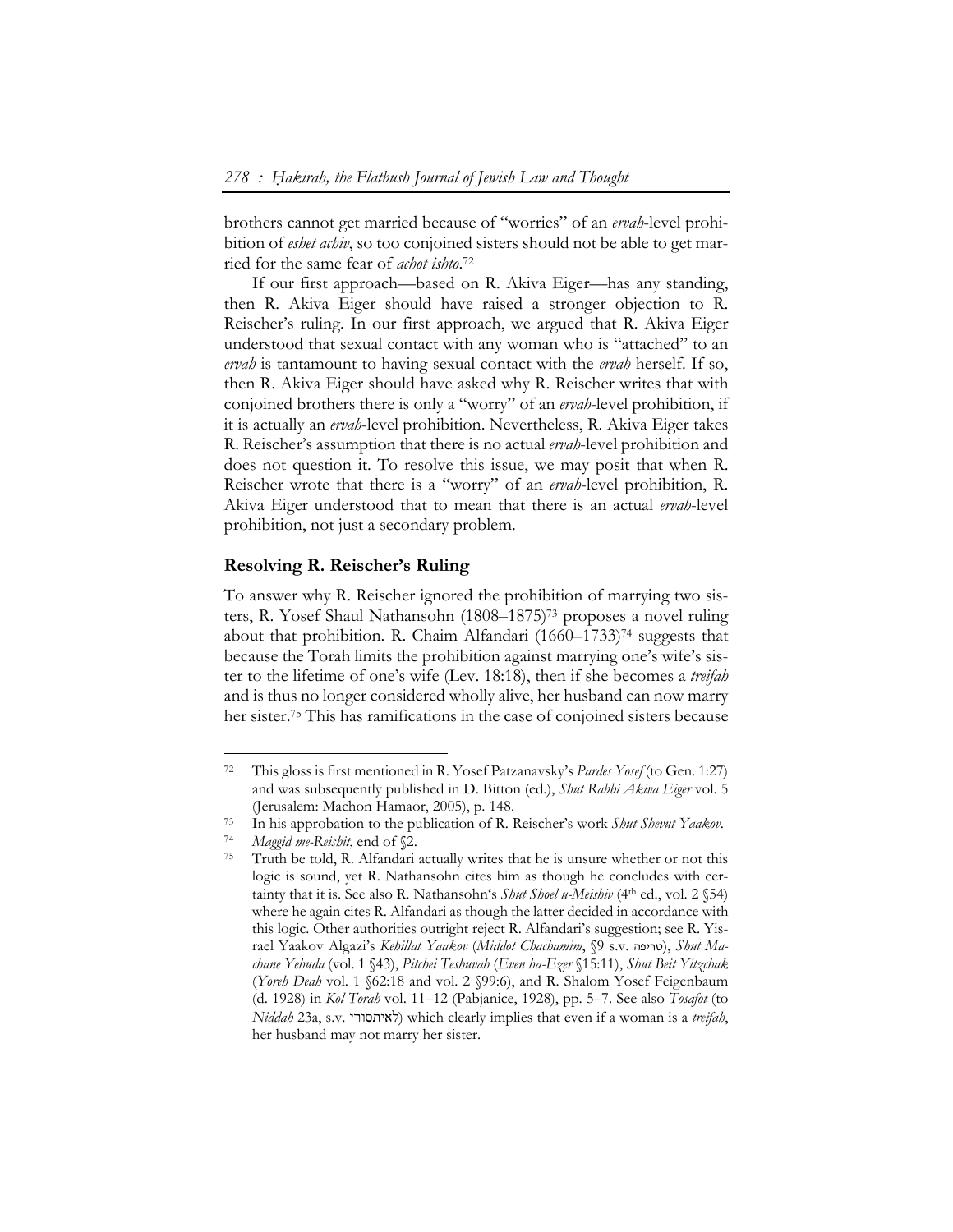brothers cannot get married because of "worries" of an *ervah*-level prohibition of *eshet achiv*, so too conjoined sisters should not be able to get married for the same fear of *achot ishto*. 72

If our first approach—based on R. Akiva Eiger—has any standing, then R. Akiva Eiger should have raised a stronger objection to R. Reischer's ruling. In our first approach, we argued that R. Akiva Eiger understood that sexual contact with any woman who is "attached" to an *ervah* is tantamount to having sexual contact with the *ervah* herself. If so, then R. Akiva Eiger should have asked why R. Reischer writes that with conjoined brothers there is only a "worry" of an *ervah*-level prohibition, if it is actually an *ervah*-level prohibition. Nevertheless, R. Akiva Eiger takes R. Reischer's assumption that there is no actual *ervah*-level prohibition and does not question it. To resolve this issue, we may posit that when R. Reischer wrote that there is a "worry" of an *ervah*-level prohibition, R. Akiva Eiger understood that to mean that there is an actual *ervah*-level prohibition, not just a secondary problem.

#### **Resolving R. Reischer's Ruling**

To answer why R. Reischer ignored the prohibition of marrying two sisters, R. Yosef Shaul Nathansohn (1808–1875)73 proposes a novel ruling about that prohibition. R. Chaim Alfandari  $(1660-1733)^{74}$  suggests that because the Torah limits the prohibition against marrying one's wife's sister to the lifetime of one's wife (Lev. 18:18), then if she becomes a *treifah*  and is thus no longer considered wholly alive, her husband can now marry her sister.75 This has ramifications in the case of conjoined sisters because

<sup>72</sup> This gloss is first mentioned in R. Yosef Patzanavsky's *Pardes Yosef* (to Gen. 1:27) and was subsequently published in D. Bitton (ed.), *Shut Rabbi Akiva Eiger* vol. 5

<sup>(</sup>Jerusalem: Machon Hamaor, 2005), p. 148.<br>
In his approbation to the publication of R. Reischer's work *Shut Shevut Yaakov*.<br>
<sup>74</sup> *Maggid me-Reishit*, end of §2.<br>
Truth be told, R. Alfandari actually writes that he is uns

logic is sound, yet R. Nathansohn cites him as though he concludes with certainty that it is. See also R. Nathansohn's *Shut Shoel u-Meishiv* (4th ed., vol. 2 §54) where he again cites R. Alfandari as though the latter decided in accordance with this logic. Other authorities outright reject R. Alfandari's suggestion; see R. Yisrael Yaakov Algazi's Kehillat Yaakov (Middot Chachamim, §9 s.v. סריפה), Shut Ma*chane Yehuda* (vol. 1 §43), *Pitchei Teshuvah* (*Even ha-Ezer* §15:11), *Shut Beit Yitzchak*  (*Yoreh Deah* vol. 1 §62:18 and vol. 2 §99:6), and R. Shalom Yosef Feigenbaum (d. 1928) in *Kol Torah* vol. 11–12 (Pabjanice, 1928), pp. 5–7. See also *Tosafot* (to *Niddah* 23a, s.v. לאיתסורי (which clearly implies that even if a woman is a *treifah*, her husband may not marry her sister.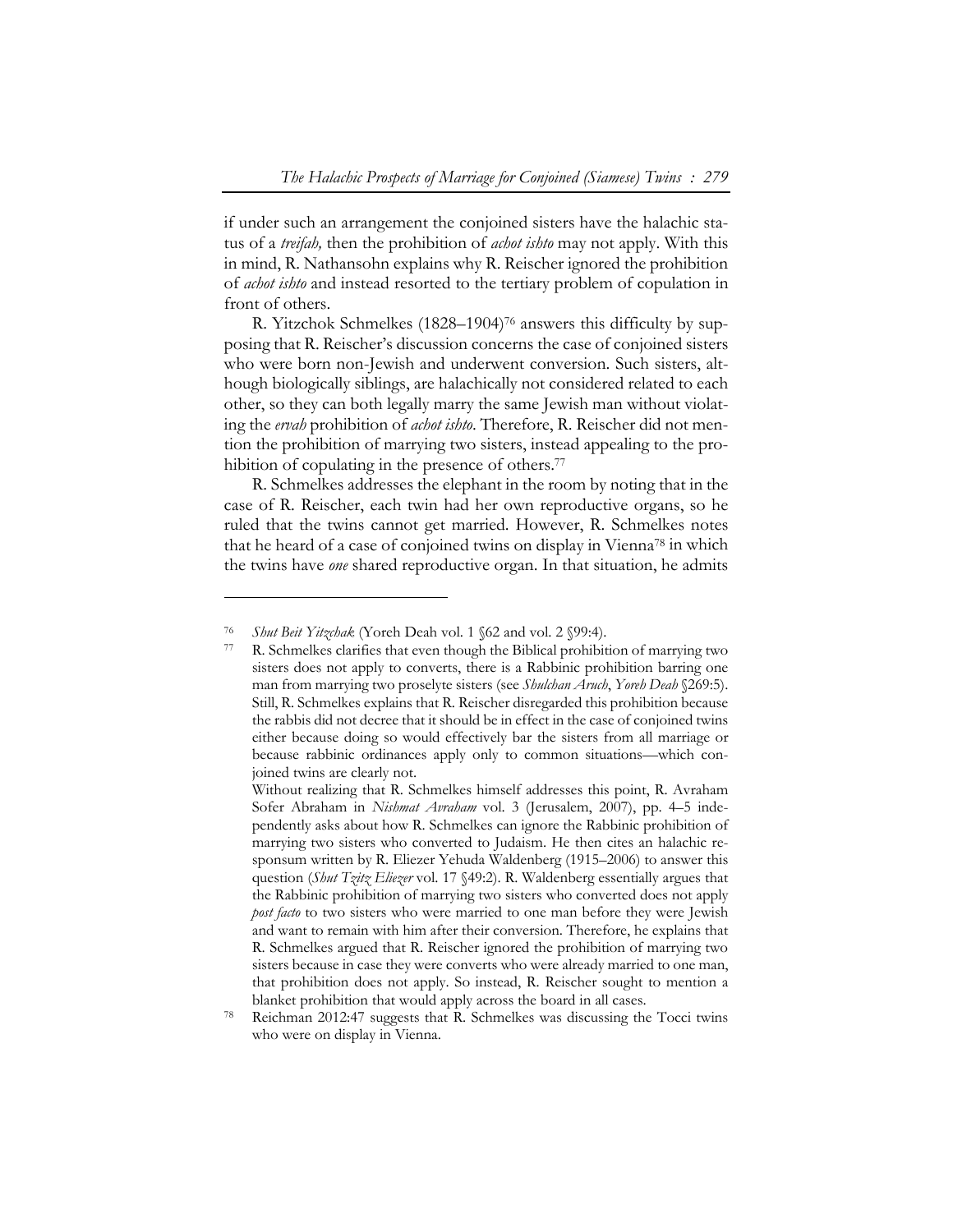if under such an arrangement the conjoined sisters have the halachic status of a *treifah,* then the prohibition of *achot ishto* may not apply. With this in mind, R. Nathansohn explains why R. Reischer ignored the prohibition of *achot ishto* and instead resorted to the tertiary problem of copulation in front of others.

R. Yitzchok Schmelkes (1828–1904)76 answers this difficulty by supposing that R. Reischer's discussion concerns the case of conjoined sisters who were born non-Jewish and underwent conversion. Such sisters, although biologically siblings, are halachically not considered related to each other, so they can both legally marry the same Jewish man without violating the *ervah* prohibition of *achot ishto*. Therefore, R. Reischer did not mention the prohibition of marrying two sisters, instead appealing to the prohibition of copulating in the presence of others.<sup>77</sup>

R. Schmelkes addresses the elephant in the room by noting that in the case of R. Reischer, each twin had her own reproductive organs, so he ruled that the twins cannot get married. However, R. Schmelkes notes that he heard of a case of conjoined twins on display in Vienna78 in which the twins have *one* shared reproductive organ. In that situation, he admits

<sup>76</sup>*Shut Beit Yitzchak* (Yoreh Deah vol. 1 §62 and vol. 2 §99:4). 77 R. Schmelkes clarifies that even though the Biblical prohibition of marrying two sisters does not apply to converts, there is a Rabbinic prohibition barring one man from marrying two proselyte sisters (see *Shulchan Aruch*, *Yoreh Deah* §269:5). Still, R. Schmelkes explains that R. Reischer disregarded this prohibition because the rabbis did not decree that it should be in effect in the case of conjoined twins either because doing so would effectively bar the sisters from all marriage or because rabbinic ordinances apply only to common situations—which conjoined twins are clearly not.

Without realizing that R. Schmelkes himself addresses this point, R. Avraham Sofer Abraham in *Nishmat Avraham* vol. 3 (Jerusalem, 2007), pp. 4–5 independently asks about how R. Schmelkes can ignore the Rabbinic prohibition of marrying two sisters who converted to Judaism. He then cites an halachic responsum written by R. Eliezer Yehuda Waldenberg (1915–2006) to answer this question (*Shut Tzitz Eliezer* vol. 17 §49:2). R. Waldenberg essentially argues that the Rabbinic prohibition of marrying two sisters who converted does not apply *post facto* to two sisters who were married to one man before they were Jewish and want to remain with him after their conversion. Therefore, he explains that R. Schmelkes argued that R. Reischer ignored the prohibition of marrying two sisters because in case they were converts who were already married to one man, that prohibition does not apply. So instead, R. Reischer sought to mention a

blanket prohibition that would apply across the board in all cases.<br><sup>78</sup> Reichman 2012:47 suggests that R. Schmelkes was discussing the Tocci twins who were on display in Vienna.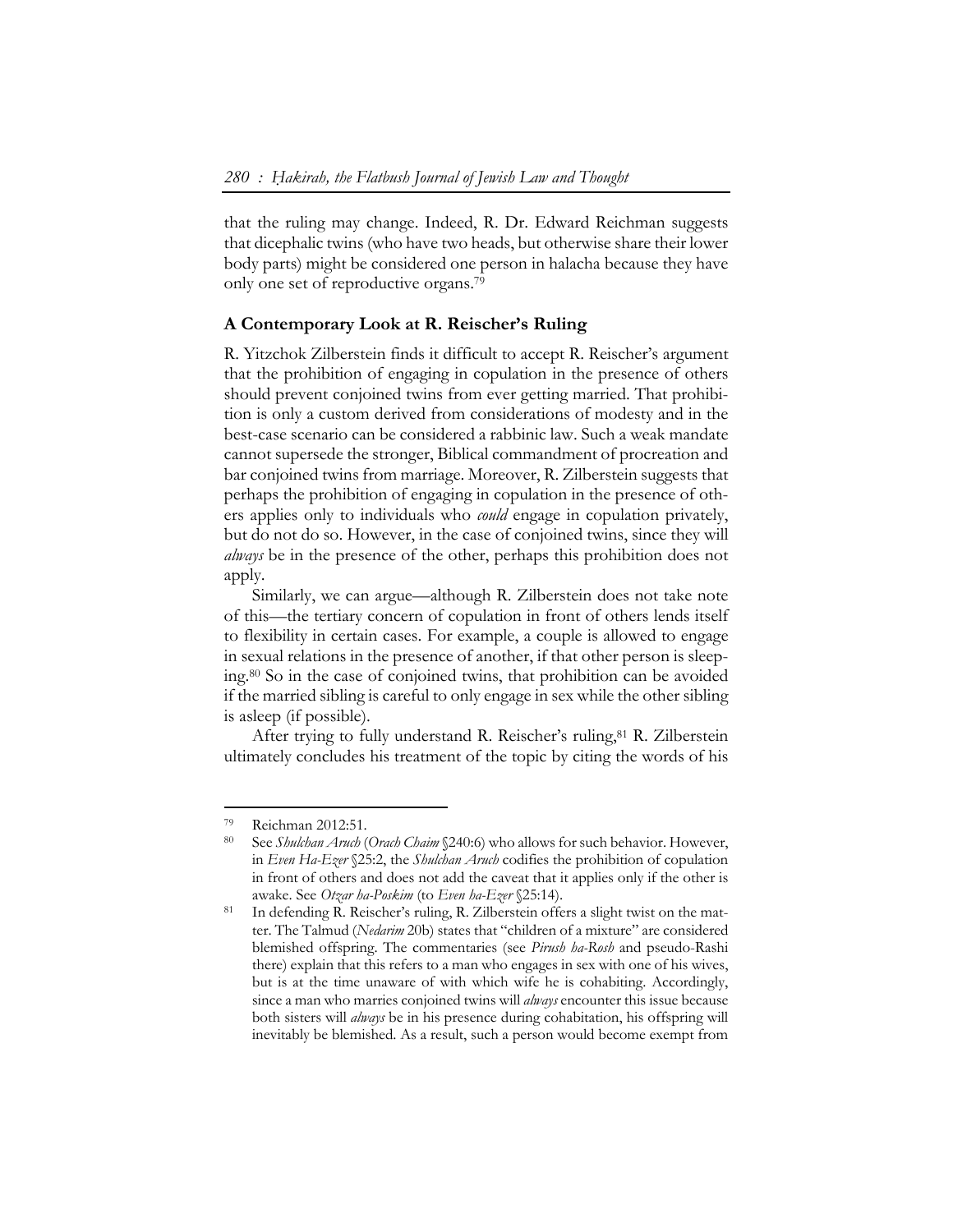that the ruling may change. Indeed, R. Dr. Edward Reichman suggests that dicephalic twins (who have two heads, but otherwise share their lower body parts) might be considered one person in halacha because they have only one set of reproductive organs.79

## **A Contemporary Look at R. Reischer's Ruling**

R. Yitzchok Zilberstein finds it difficult to accept R. Reischer's argument that the prohibition of engaging in copulation in the presence of others should prevent conjoined twins from ever getting married. That prohibition is only a custom derived from considerations of modesty and in the best-case scenario can be considered a rabbinic law. Such a weak mandate cannot supersede the stronger, Biblical commandment of procreation and bar conjoined twins from marriage. Moreover, R. Zilberstein suggests that perhaps the prohibition of engaging in copulation in the presence of others applies only to individuals who *could* engage in copulation privately, but do not do so. However, in the case of conjoined twins, since they will *always* be in the presence of the other, perhaps this prohibition does not apply.

Similarly, we can argue—although R. Zilberstein does not take note of this—the tertiary concern of copulation in front of others lends itself to flexibility in certain cases. For example, a couple is allowed to engage in sexual relations in the presence of another, if that other person is sleeping.80 So in the case of conjoined twins, that prohibition can be avoided if the married sibling is careful to only engage in sex while the other sibling is asleep (if possible).

After trying to fully understand R. Reischer's ruling,<sup>81</sup> R. Zilberstein ultimately concludes his treatment of the topic by citing the words of his

<sup>79</sup> Reichman 2012:51.

<sup>80</sup> See *Shulchan Aruch* (*Orach Chaim* §240:6) who allows for such behavior. However, in *Even Ha-Ezer* §25:2, the *Shulchan Aruch* codifies the prohibition of copulation in front of others and does not add the caveat that it applies only if the other is

awake. See *Otzar ha-Poskim* (to *Even ha-Ezer* §25:14).<br>In defending R. Reischer's ruling, R. Zilberstein offers a slight twist on the matter. The Talmud (*Nedarim* 20b) states that "children of a mixture" are considered blemished offspring. The commentaries (see *Pirush ha-Rosh* and pseudo-Rashi there) explain that this refers to a man who engages in sex with one of his wives, but is at the time unaware of with which wife he is cohabiting. Accordingly, since a man who marries conjoined twins will *always* encounter this issue because both sisters will *always* be in his presence during cohabitation, his offspring will inevitably be blemished. As a result, such a person would become exempt from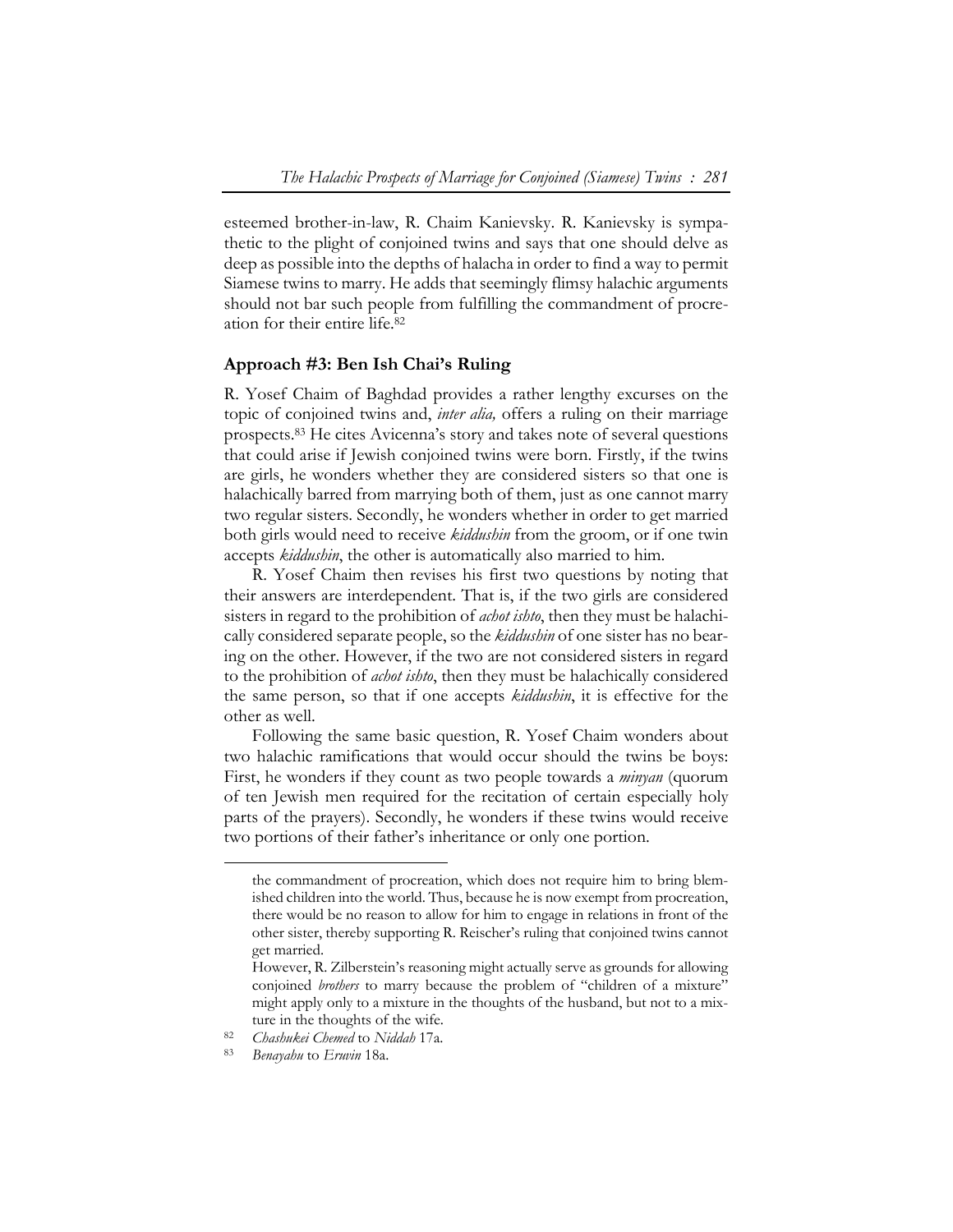esteemed brother-in-law, R. Chaim Kanievsky. R. Kanievsky is sympathetic to the plight of conjoined twins and says that one should delve as deep as possible into the depths of halacha in order to find a way to permit Siamese twins to marry. He adds that seemingly flimsy halachic arguments should not bar such people from fulfilling the commandment of procreation for their entire life.82

#### **Approach #3: Ben Ish Chai's Ruling**

R. Yosef Chaim of Baghdad provides a rather lengthy excurses on the topic of conjoined twins and, *inter alia,* offers a ruling on their marriage prospects.83 He cites Avicenna's story and takes note of several questions that could arise if Jewish conjoined twins were born. Firstly, if the twins are girls, he wonders whether they are considered sisters so that one is halachically barred from marrying both of them, just as one cannot marry two regular sisters. Secondly, he wonders whether in order to get married both girls would need to receive *kiddushin* from the groom, or if one twin accepts *kiddushin*, the other is automatically also married to him.

R. Yosef Chaim then revises his first two questions by noting that their answers are interdependent. That is, if the two girls are considered sisters in regard to the prohibition of *achot ishto*, then they must be halachically considered separate people, so the *kiddushin* of one sister has no bearing on the other. However, if the two are not considered sisters in regard to the prohibition of *achot ishto*, then they must be halachically considered the same person, so that if one accepts *kiddushin*, it is effective for the other as well.

Following the same basic question, R. Yosef Chaim wonders about two halachic ramifications that would occur should the twins be boys: First, he wonders if they count as two people towards a *minyan* (quorum of ten Jewish men required for the recitation of certain especially holy parts of the prayers). Secondly, he wonders if these twins would receive two portions of their father's inheritance or only one portion.

the commandment of procreation, which does not require him to bring blemished children into the world. Thus, because he is now exempt from procreation, there would be no reason to allow for him to engage in relations in front of the other sister, thereby supporting R. Reischer's ruling that conjoined twins cannot get married.

However, R. Zilberstein's reasoning might actually serve as grounds for allowing conjoined *brothers* to marry because the problem of "children of a mixture" might apply only to a mixture in the thoughts of the husband, but not to a mix-

ture in the thoughts of the wife. 82 *Chashukei Chemed* to *Niddah* 17a. 83 *Benayahu* to *Eruvin* 18a.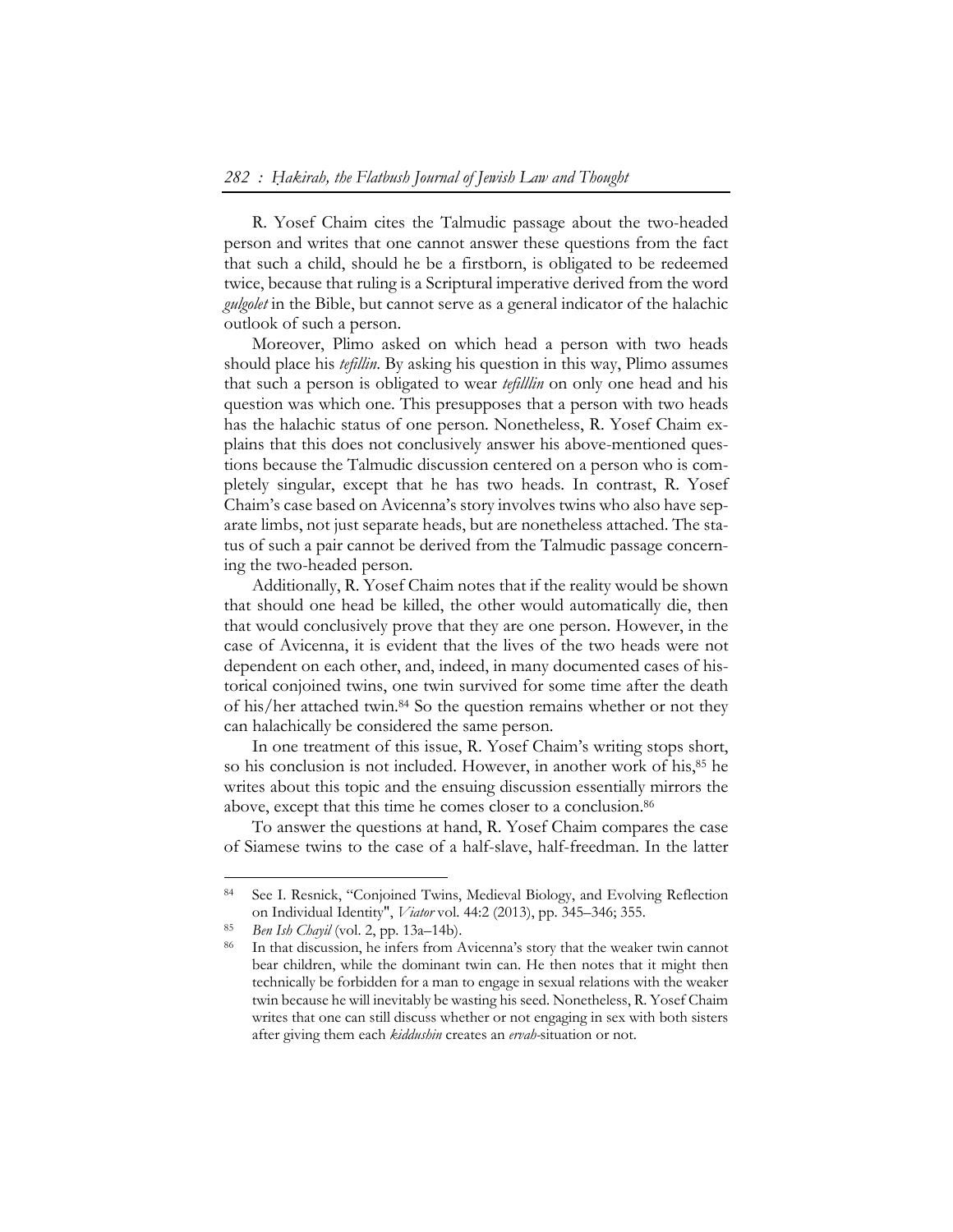R. Yosef Chaim cites the Talmudic passage about the two-headed person and writes that one cannot answer these questions from the fact that such a child, should he be a firstborn, is obligated to be redeemed twice, because that ruling is a Scriptural imperative derived from the word *gulgolet* in the Bible, but cannot serve as a general indicator of the halachic outlook of such a person.

Moreover, Plimo asked on which head a person with two heads should place his *tefillin*. By asking his question in this way, Plimo assumes that such a person is obligated to wear *tefilllin* on only one head and his question was which one. This presupposes that a person with two heads has the halachic status of one person. Nonetheless, R. Yosef Chaim explains that this does not conclusively answer his above-mentioned questions because the Talmudic discussion centered on a person who is completely singular, except that he has two heads. In contrast, R. Yosef Chaim's case based on Avicenna's story involves twins who also have separate limbs, not just separate heads, but are nonetheless attached. The status of such a pair cannot be derived from the Talmudic passage concerning the two-headed person.

Additionally, R. Yosef Chaim notes that if the reality would be shown that should one head be killed, the other would automatically die, then that would conclusively prove that they are one person. However, in the case of Avicenna, it is evident that the lives of the two heads were not dependent on each other, and, indeed, in many documented cases of historical conjoined twins, one twin survived for some time after the death of his/her attached twin.84 So the question remains whether or not they can halachically be considered the same person.

In one treatment of this issue, R. Yosef Chaim's writing stops short, so his conclusion is not included. However, in another work of his,<sup>85</sup> he writes about this topic and the ensuing discussion essentially mirrors the above, except that this time he comes closer to a conclusion.86

To answer the questions at hand, R. Yosef Chaim compares the case of Siamese twins to the case of a half-slave, half-freedman. In the latter

<sup>84</sup> See I. Resnick, "Conjoined Twins, Medieval Biology, and Evolving Reflection on Individual Identity", *Viator* vol. 44:2 (2013), pp. 345–346; 355.<br><sup>85</sup> *Ben Ish Chayil* (vol. 2, pp. 13a–14b).<br><sup>86</sup> In that discussion, he infers from Avicenna's story that the weaker twin cannot

bear children, while the dominant twin can. He then notes that it might then technically be forbidden for a man to engage in sexual relations with the weaker twin because he will inevitably be wasting his seed. Nonetheless, R. Yosef Chaim writes that one can still discuss whether or not engaging in sex with both sisters after giving them each *kiddushin* creates an *ervah-*situation or not.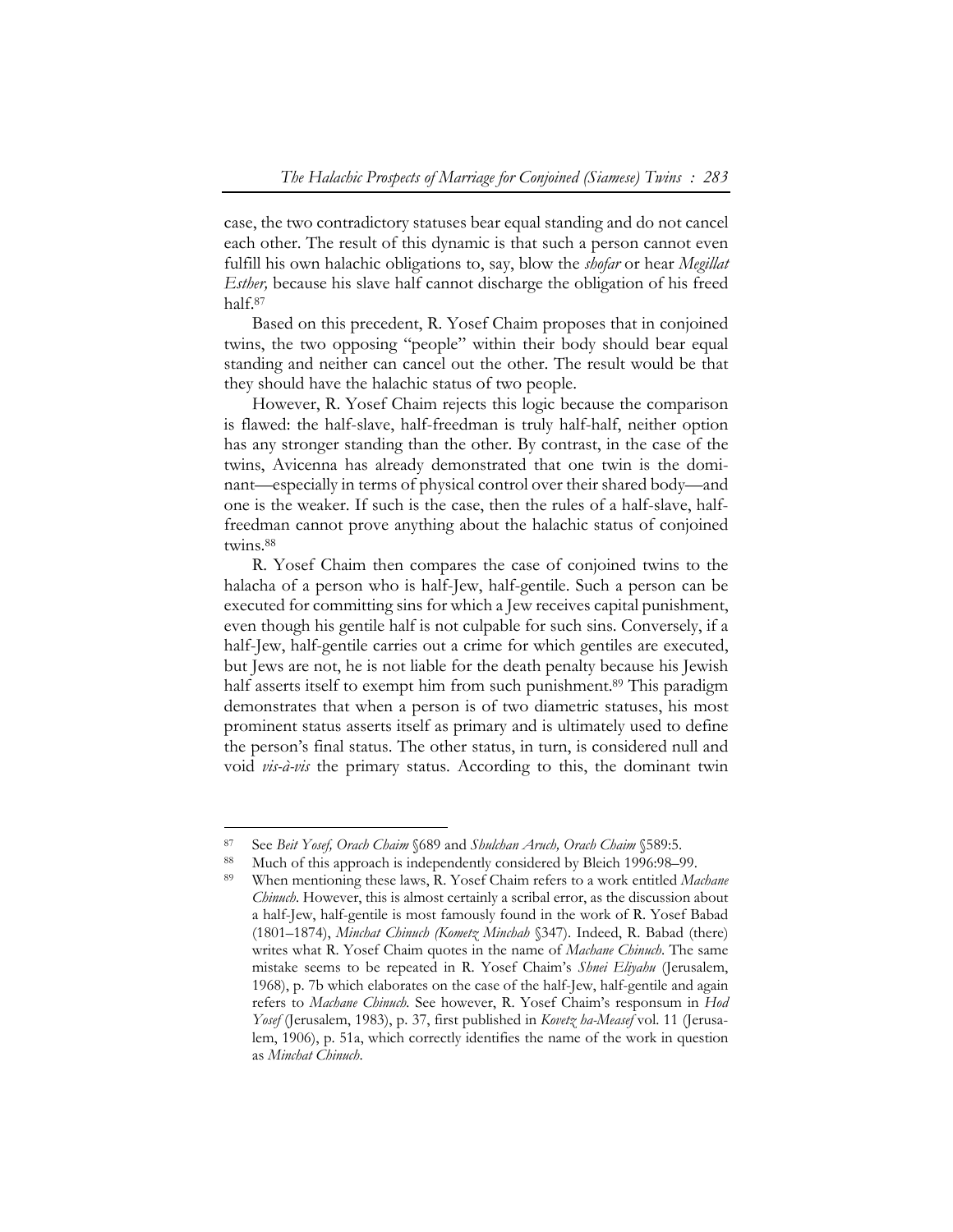case, the two contradictory statuses bear equal standing and do not cancel each other. The result of this dynamic is that such a person cannot even fulfill his own halachic obligations to, say, blow the *shofar* or hear *Megillat Esther,* because his slave half cannot discharge the obligation of his freed half.87

Based on this precedent, R. Yosef Chaim proposes that in conjoined twins, the two opposing "people" within their body should bear equal standing and neither can cancel out the other. The result would be that they should have the halachic status of two people.

However, R. Yosef Chaim rejects this logic because the comparison is flawed: the half-slave, half-freedman is truly half-half, neither option has any stronger standing than the other. By contrast, in the case of the twins, Avicenna has already demonstrated that one twin is the dominant—especially in terms of physical control over their shared body—and one is the weaker. If such is the case, then the rules of a half-slave, halffreedman cannot prove anything about the halachic status of conjoined twins.88

R. Yosef Chaim then compares the case of conjoined twins to the halacha of a person who is half-Jew, half-gentile. Such a person can be executed for committing sins for which a Jew receives capital punishment, even though his gentile half is not culpable for such sins. Conversely, if a half-Jew, half-gentile carries out a crime for which gentiles are executed, but Jews are not, he is not liable for the death penalty because his Jewish half asserts itself to exempt him from such punishment.<sup>89</sup> This paradigm demonstrates that when a person is of two diametric statuses, his most prominent status asserts itself as primary and is ultimately used to define the person's final status. The other status, in turn, is considered null and void *vis-à-vis* the primary status. According to this, the dominant twin

<sup>&</sup>lt;sup>87</sup> See *Beit Yosef, Orach Chaim* §689 and *Shulchan Aruch, Orach Chaim* §589:5.<br><sup>88</sup> Much of this approach is independently considered by Bleich 1996:98–99.<br><sup>89</sup> When mentioning these laws, R. Yosef Chaim refers to a wor *Chinuch*. However, this is almost certainly a scribal error, as the discussion about a half-Jew, half-gentile is most famously found in the work of R. Yosef Babad (1801–1874), *Minchat Chinuch (Kometz Minchah* §347). Indeed, R. Babad (there) writes what R. Yosef Chaim quotes in the name of *Machane Chinuch*. The same mistake seems to be repeated in R. Yosef Chaim's *Shnei Eliyahu* (Jerusalem, 1968), p. 7b which elaborates on the case of the half-Jew, half-gentile and again refers to *Machane Chinuch.* See however, R. Yosef Chaim's responsum in *Hod Yosef* (Jerusalem, 1983), p. 37, first published in *Kovetz ha-Measef* vol. 11 (Jerusalem, 1906), p. 51a, which correctly identifies the name of the work in question as *Minchat Chinuch*.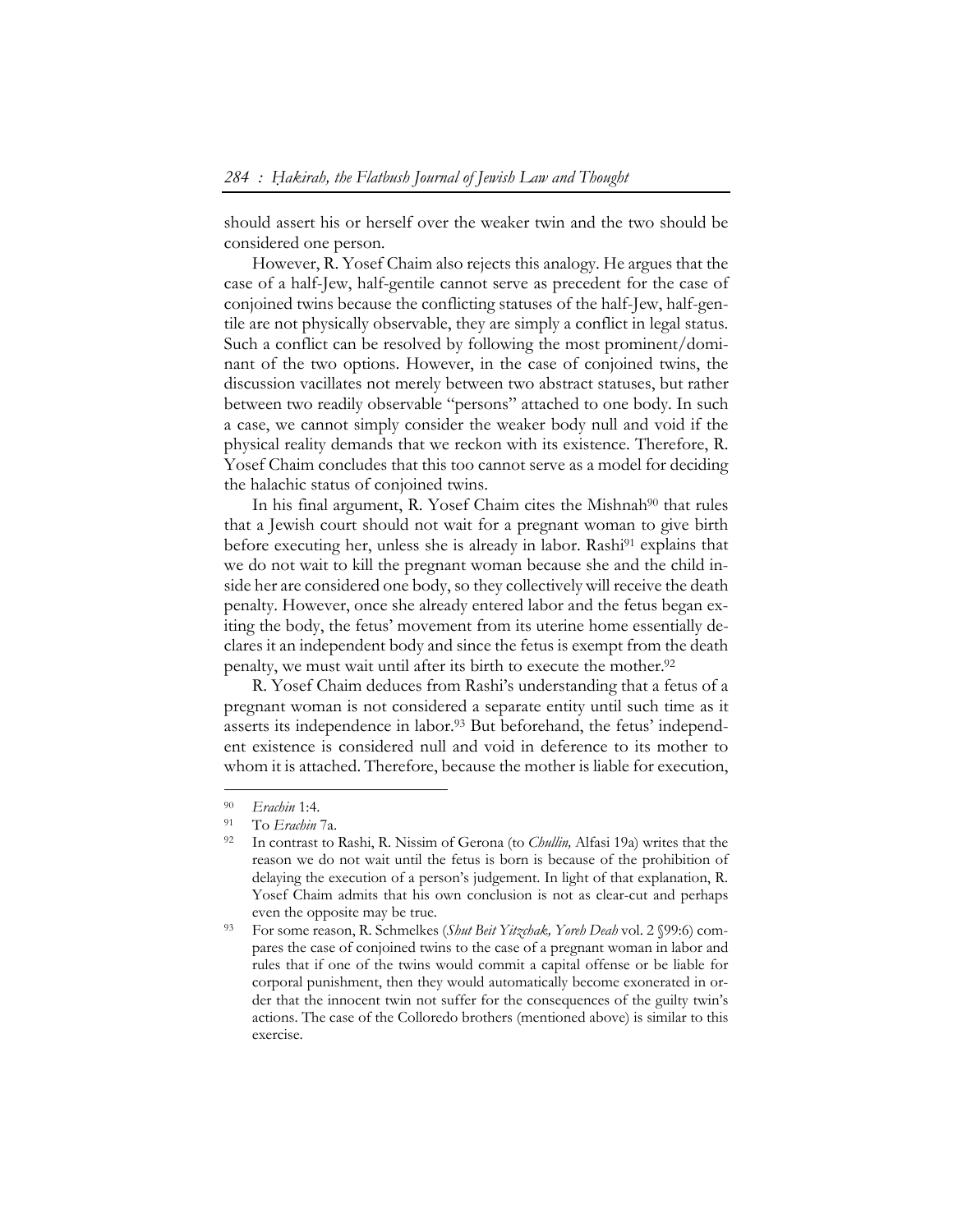should assert his or herself over the weaker twin and the two should be considered one person.

However, R. Yosef Chaim also rejects this analogy. He argues that the case of a half-Jew, half-gentile cannot serve as precedent for the case of conjoined twins because the conflicting statuses of the half-Jew, half-gentile are not physically observable, they are simply a conflict in legal status. Such a conflict can be resolved by following the most prominent/dominant of the two options. However, in the case of conjoined twins, the discussion vacillates not merely between two abstract statuses, but rather between two readily observable "persons" attached to one body. In such a case, we cannot simply consider the weaker body null and void if the physical reality demands that we reckon with its existence. Therefore, R. Yosef Chaim concludes that this too cannot serve as a model for deciding the halachic status of conjoined twins.

In his final argument, R. Yosef Chaim cites the Mishnah<sup>90</sup> that rules that a Jewish court should not wait for a pregnant woman to give birth before executing her, unless she is already in labor. Rashi91 explains that we do not wait to kill the pregnant woman because she and the child inside her are considered one body, so they collectively will receive the death penalty. However, once she already entered labor and the fetus began exiting the body, the fetus' movement from its uterine home essentially declares it an independent body and since the fetus is exempt from the death penalty, we must wait until after its birth to execute the mother.92

R. Yosef Chaim deduces from Rashi's understanding that a fetus of a pregnant woman is not considered a separate entity until such time as it asserts its independence in labor.93 But beforehand, the fetus' independent existence is considered null and void in deference to its mother to whom it is attached. Therefore, because the mother is liable for execution,

<sup>90</sup>*Erachin* 1:4. 91 To *Erachin* 7a. 92 In contrast to Rashi, R. Nissim of Gerona (to *Chullin,* Alfasi 19a) writes that the reason we do not wait until the fetus is born is because of the prohibition of delaying the execution of a person's judgement. In light of that explanation, R. Yosef Chaim admits that his own conclusion is not as clear-cut and perhaps even the opposite may be true.<br><sup>93</sup> For some reason, R. Schmelkes *(Shut Beit Yitzchak, Yoreh Deah* vol. 2 §99:6) com-

pares the case of conjoined twins to the case of a pregnant woman in labor and rules that if one of the twins would commit a capital offense or be liable for corporal punishment, then they would automatically become exonerated in order that the innocent twin not suffer for the consequences of the guilty twin's actions. The case of the Colloredo brothers (mentioned above) is similar to this exercise.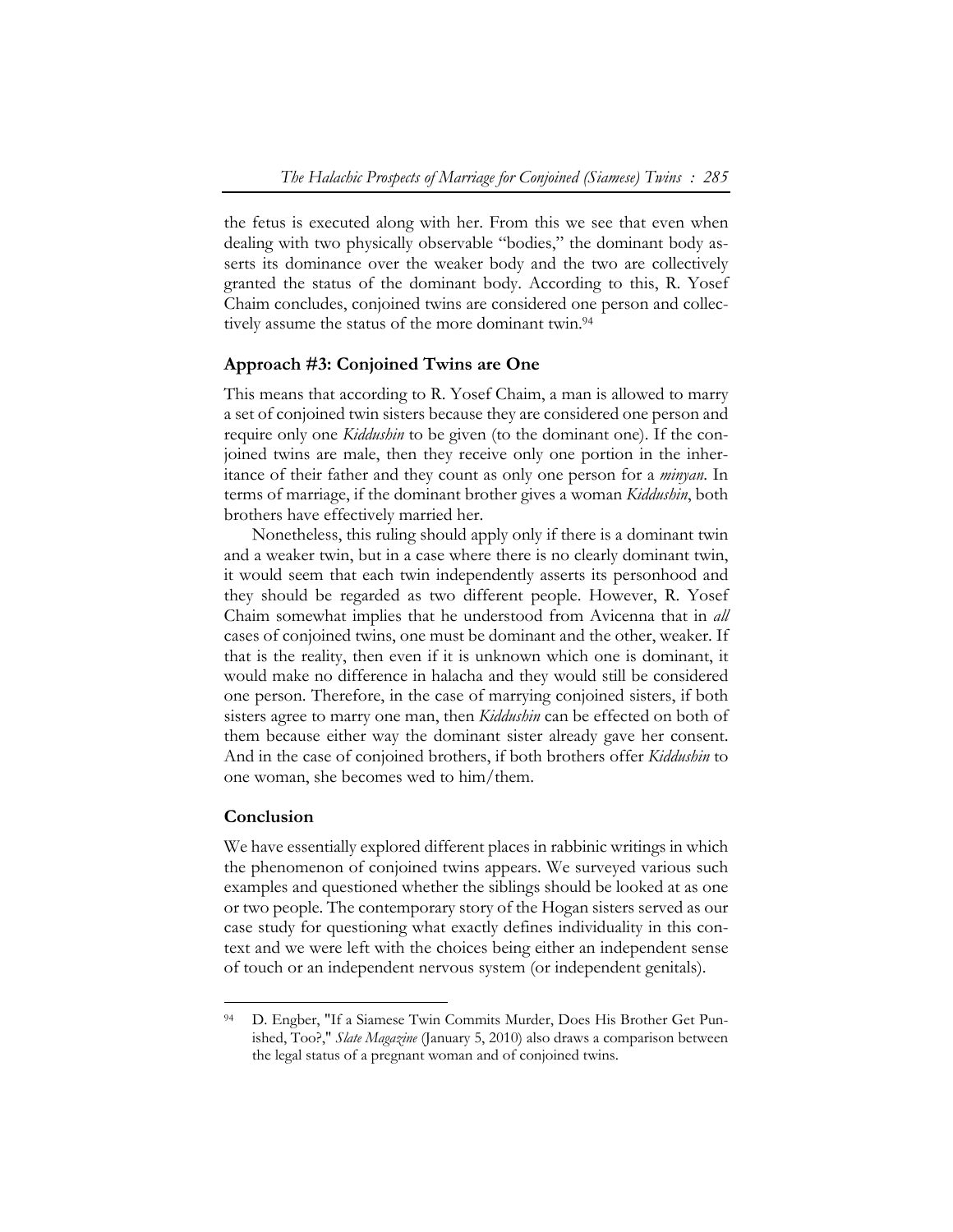the fetus is executed along with her. From this we see that even when dealing with two physically observable "bodies," the dominant body asserts its dominance over the weaker body and the two are collectively granted the status of the dominant body. According to this, R. Yosef Chaim concludes, conjoined twins are considered one person and collectively assume the status of the more dominant twin.<sup>94</sup>

## **Approach #3: Conjoined Twins are One**

This means that according to R. Yosef Chaim, a man is allowed to marry a set of conjoined twin sisters because they are considered one person and require only one *Kiddushin* to be given (to the dominant one). If the conjoined twins are male, then they receive only one portion in the inheritance of their father and they count as only one person for a *minyan*. In terms of marriage, if the dominant brother gives a woman *Kiddushin*, both brothers have effectively married her.

Nonetheless, this ruling should apply only if there is a dominant twin and a weaker twin, but in a case where there is no clearly dominant twin, it would seem that each twin independently asserts its personhood and they should be regarded as two different people. However, R. Yosef Chaim somewhat implies that he understood from Avicenna that in *all*  cases of conjoined twins, one must be dominant and the other, weaker. If that is the reality, then even if it is unknown which one is dominant, it would make no difference in halacha and they would still be considered one person. Therefore, in the case of marrying conjoined sisters, if both sisters agree to marry one man, then *Kiddushin* can be effected on both of them because either way the dominant sister already gave her consent. And in the case of conjoined brothers, if both brothers offer *Kiddushin* to one woman, she becomes wed to him/them.

#### **Conclusion**

 $\overline{a}$ 

We have essentially explored different places in rabbinic writings in which the phenomenon of conjoined twins appears. We surveyed various such examples and questioned whether the siblings should be looked at as one or two people. The contemporary story of the Hogan sisters served as our case study for questioning what exactly defines individuality in this context and we were left with the choices being either an independent sense of touch or an independent nervous system (or independent genitals).

<sup>94</sup> D. Engber, "If a Siamese Twin Commits Murder, Does His Brother Get Punished, Too?," *Slate Magazine* (January 5, 2010) also draws a comparison between the legal status of a pregnant woman and of conjoined twins.